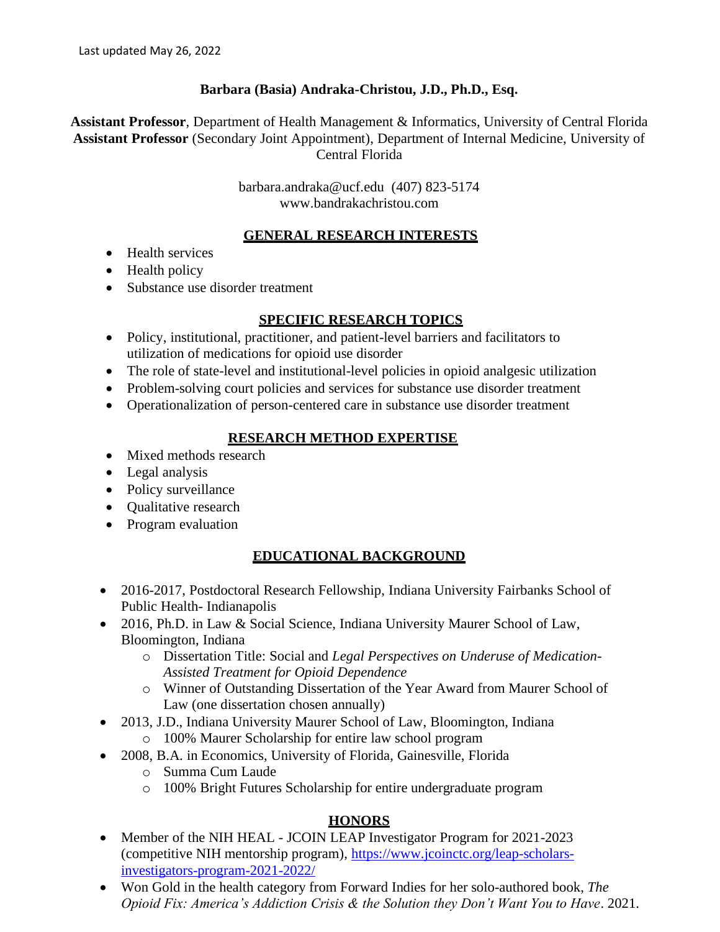## **Barbara (Basia) Andraka-Christou, J.D., Ph.D., Esq.**

**Assistant Professor**, Department of Health Management & Informatics, University of Central Florida **Assistant Professor** (Secondary Joint Appointment), Department of Internal Medicine, University of Central Florida

> [barbara.andraka@ucf.edu](mailto:barbara.andraka@ucf.edu) (407) 823-5174 www.bandrakachristou.com

#### **GENERAL RESEARCH INTERESTS**

- Health services
- Health policy
- Substance use disorder treatment

#### **SPECIFIC RESEARCH TOPICS**

- Policy, institutional, practitioner, and patient-level barriers and facilitators to utilization of medications for opioid use disorder
- The role of state-level and institutional-level policies in opioid analgesic utilization
- Problem-solving court policies and services for substance use disorder treatment
- Operationalization of person-centered care in substance use disorder treatment

## **RESEARCH METHOD EXPERTISE**

- Mixed methods research
- Legal analysis
- Policy surveillance
- Qualitative research
- Program evaluation

## **EDUCATIONAL BACKGROUND**

- 2016-2017, Postdoctoral Research Fellowship, Indiana University Fairbanks School of Public Health- Indianapolis
- 2016, Ph.D. in Law & Social Science, Indiana University Maurer School of Law, Bloomington, Indiana
	- o Dissertation Title: Social and *Legal Perspectives on Underuse of Medication-Assisted Treatment for Opioid Dependence*
	- o Winner of Outstanding Dissertation of the Year Award from Maurer School of Law (one dissertation chosen annually)
- 2013, J.D., Indiana University Maurer School of Law, Bloomington, Indiana o 100% Maurer Scholarship for entire law school program
- 2008, B.A. in Economics, University of Florida, Gainesville, Florida
	- o Summa Cum Laude
	- o 100% Bright Futures Scholarship for entire undergraduate program

## **HONORS**

- Member of the NIH HEAL JCOIN LEAP Investigator Program for 2021-2023 (competitive NIH mentorship program), [https://www.jcoinctc.org/leap-scholars](https://www.jcoinctc.org/leap-scholars-investigators-program-2021-2022/)[investigators-program-2021-2022/](https://www.jcoinctc.org/leap-scholars-investigators-program-2021-2022/)
- Won Gold in the health category from Forward Indies for her solo-authored book, *The Opioid Fix: America's Addiction Crisis & the Solution they Don't Want You to Have*. 2021.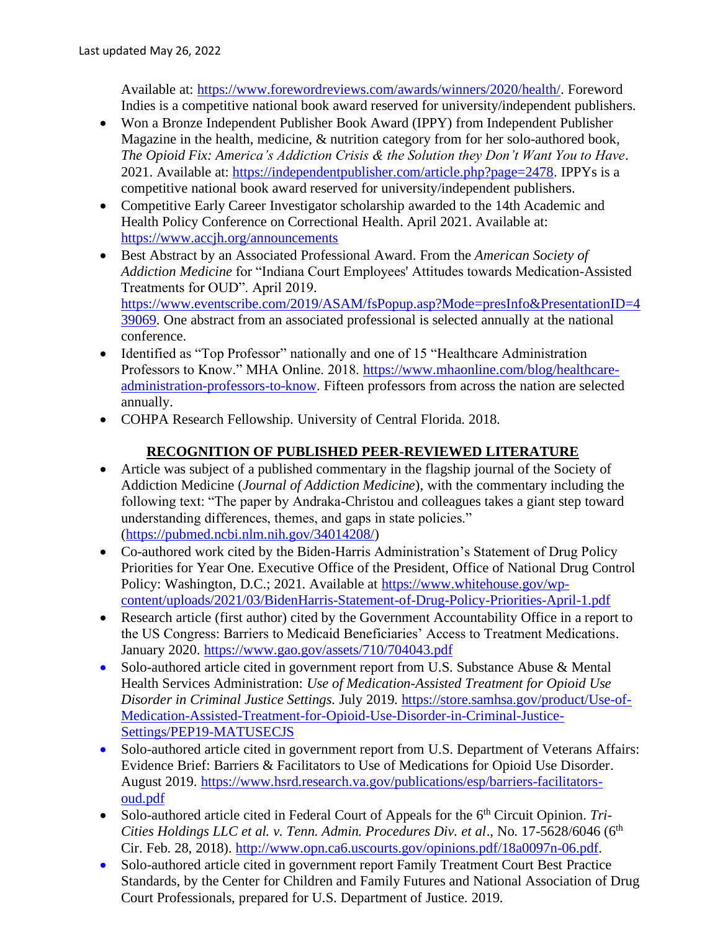Available at: [https://www.forewordreviews.com/awards/winners/2020/health/.](https://www.forewordreviews.com/awards/winners/2020/health/) Foreword Indies is a competitive national book award reserved for university/independent publishers.

- Won a Bronze Independent Publisher Book Award (IPPY) from Independent Publisher Magazine in the health, medicine, & nutrition category from for her solo-authored book, *The Opioid Fix: America's Addiction Crisis & the Solution they Don't Want You to Have*. 2021. Available at: [https://independentpublisher.com/article.php?page=2478.](https://independentpublisher.com/article.php?page=2478) IPPYs is a competitive national book award reserved for university/independent publishers.
- Competitive Early Career Investigator scholarship awarded to the 14th Academic and Health Policy Conference on Correctional Health. April 2021. Available at: <https://www.accjh.org/announcements>
- Best Abstract by an Associated Professional Award. From the *American Society of Addiction Medicine* for "Indiana Court Employees' Attitudes towards Medication-Assisted Treatments for OUD". April 2019. [https://www.eventscribe.com/2019/ASAM/fsPopup.asp?Mode=presInfo&PresentationID=4](https://www.eventscribe.com/2019/ASAM/fsPopup.asp?Mode=presInfo&PresentationID=439069) [39069.](https://www.eventscribe.com/2019/ASAM/fsPopup.asp?Mode=presInfo&PresentationID=439069) One abstract from an associated professional is selected annually at the national conference.
- Identified as "Top Professor" nationally and one of 15 "Healthcare Administration Professors to Know." MHA Online. 2018. [https://www.mhaonline.com/blog/healthcare](https://www.mhaonline.com/blog/healthcare-administration-professors-to-know%20(15)[administration-professors-to-know.](https://www.mhaonline.com/blog/healthcare-administration-professors-to-know%20(15) Fifteen professors from across the nation are selected annually.
- COHPA Research Fellowship. University of Central Florida. 2018.

## **RECOGNITION OF PUBLISHED PEER-REVIEWED LITERATURE**

- Article was subject of a published commentary in the flagship journal of the Society of Addiction Medicine (*Journal of Addiction Medicine*), with the commentary including the following text: "The paper by Andraka-Christou and colleagues takes a giant step toward understanding differences, themes, and gaps in state policies." [\(https://pubmed.ncbi.nlm.nih.gov/34014208/\)](https://pubmed.ncbi.nlm.nih.gov/34014208/)
- Co-authored work cited by the Biden-Harris Administration's Statement of Drug Policy Priorities for Year One. Executive Office of the President, Office of National Drug Control Policy: Washington, D.C.; 2021. Available at [https://www.whitehouse.gov/wp](https://www.whitehouse.gov/wp-content/uploads/2021/03/BidenHarris-Statement-of-Drug-Policy-Priorities-April-1.pdf)[content/uploads/2021/03/BidenHarris-Statement-of-Drug-Policy-Priorities-April-1.pdf](https://www.whitehouse.gov/wp-content/uploads/2021/03/BidenHarris-Statement-of-Drug-Policy-Priorities-April-1.pdf)
- Research article (first author) cited by the Government Accountability Office in a report to the US Congress: Barriers to Medicaid Beneficiaries' Access to Treatment Medications. January 2020.<https://www.gao.gov/assets/710/704043.pdf>
- Solo-authored article cited in government report from U.S. Substance Abuse & Mental Health Services Administration: *Use of Medication-Assisted Treatment for Opioid Use Disorder in Criminal Justice Settings.* July 2019. [https://store.samhsa.gov/product/Use-of-](https://store.samhsa.gov/product/Use-of-Medication-Assisted-Treatment-for-Opioid-Use-Disorder-in-Criminal-Justice-Settings/PEP19-MATUSECJS)[Medication-Assisted-Treatment-for-Opioid-Use-Disorder-in-Criminal-Justice-](https://store.samhsa.gov/product/Use-of-Medication-Assisted-Treatment-for-Opioid-Use-Disorder-in-Criminal-Justice-Settings/PEP19-MATUSECJS)[Settings/PEP19-MATUSECJS](https://store.samhsa.gov/product/Use-of-Medication-Assisted-Treatment-for-Opioid-Use-Disorder-in-Criminal-Justice-Settings/PEP19-MATUSECJS)
- Solo-authored article cited in government report from U.S. Department of Veterans Affairs: Evidence Brief: Barriers & Facilitators to Use of Medications for Opioid Use Disorder. August 2019. [https://www.hsrd.research.va.gov/publications/esp/barriers-facilitators](https://www.hsrd.research.va.gov/publications/esp/barriers-facilitators-oud.pdf)[oud.pdf](https://www.hsrd.research.va.gov/publications/esp/barriers-facilitators-oud.pdf)
- Solo-authored article cited in Federal Court of Appeals for the 6<sup>th</sup> Circuit Opinion. *Tri*-*Cities Holdings LLC et al. v. Tenn. Admin. Procedures Div. et al., No.* 17-5628/6046 (6<sup>th</sup> Cir. Feb. 28, 2018). [http://www.opn.ca6.uscourts.gov/opinions.pdf/18a0097n-06.pdf.](http://www.opn.ca6.uscourts.gov/opinions.pdf/18a0097n-06.pdf)
- Solo-authored article cited in government report Family Treatment Court Best Practice Standards, by the Center for Children and Family Futures and National Association of Drug Court Professionals, prepared for U.S. Department of Justice. 2019.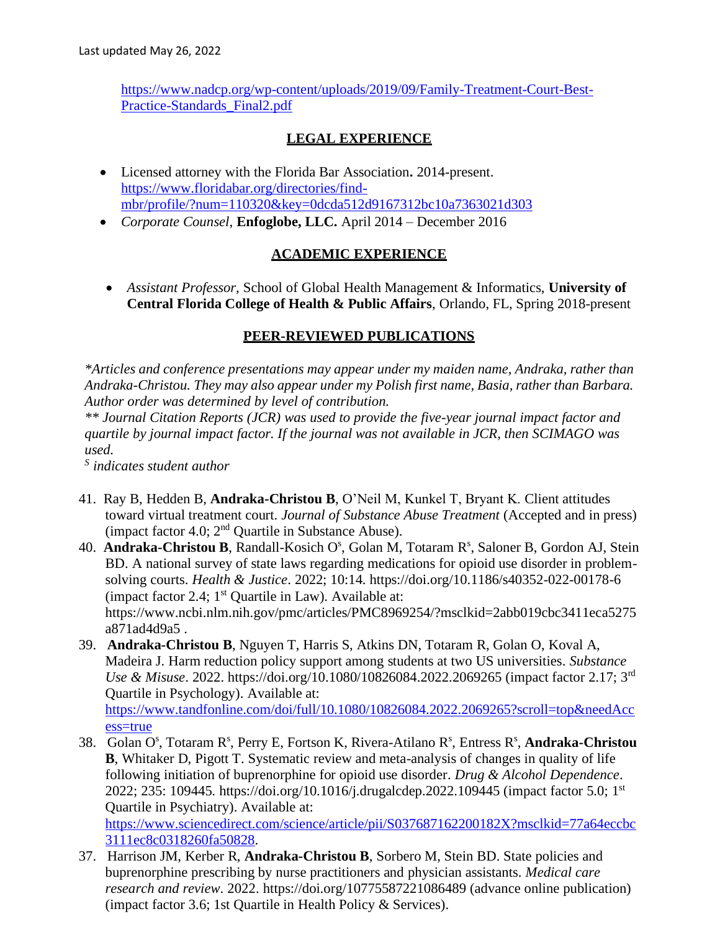[https://www.nadcp.org/wp-content/uploads/2019/09/Family-Treatment-Court-Best-](https://www.nadcp.org/wp-content/uploads/2019/09/Family-Treatment-Court-Best-Practice-Standards_Final2.pdf)[Practice-Standards\\_Final2.pdf](https://www.nadcp.org/wp-content/uploads/2019/09/Family-Treatment-Court-Best-Practice-Standards_Final2.pdf)

## **LEGAL EXPERIENCE**

- Licensed attorney with the Florida Bar Association**.** 2014-present. [https://www.floridabar.org/directories/find](https://www.floridabar.org/directories/find-mbr/profile/?num=110320&key=0dcda512d9167312bc10a7363021d303)[mbr/profile/?num=110320&key=0dcda512d9167312bc10a7363021d303](https://www.floridabar.org/directories/find-mbr/profile/?num=110320&key=0dcda512d9167312bc10a7363021d303)
- *Corporate Counsel*, **Enfoglobe, LLC.** April 2014 December 2016

#### **ACADEMIC EXPERIENCE**

• *Assistant Professor,* School of Global Health Management & Informatics, **University of Central Florida College of Health & Public Affairs**, Orlando, FL, Spring 2018-present

### **PEER-REVIEWED PUBLICATIONS**

*\*Articles and conference presentations may appear under my maiden name, Andraka, rather than Andraka-Christou. They may also appear under my Polish first name, Basia, rather than Barbara. Author order was determined by level of contribution.*

*\*\* Journal Citation Reports (JCR) was used to provide the five-year journal impact factor and quartile by journal impact factor. If the journal was not available in JCR, then SCIMAGO was used.*

*S indicates student author*

- 41. Ray B, Hedden B, **Andraka-Christou B**, O'Neil M, Kunkel T, Bryant K. Client attitudes toward virtual treatment court. *Journal of Substance Abuse Treatment* (Accepted and in press) (impact factor 4.0;  $2<sup>nd</sup>$  Quartile in Substance Abuse).
- 40. Andraka-Christou B, Randall-Kosich O<sup>s</sup>, Golan M, Totaram R<sup>s</sup>, Saloner B, Gordon AJ, Stein BD. A national survey of state laws regarding medications for opioid use disorder in problemsolving courts. *Health & Justice*. 2022; 10:14. https://doi.org/10.1186/s40352-022-00178-6 (impact factor 2.4;  $1<sup>st</sup>$  Quartile in Law). Available at: https://www.ncbi.nlm.nih.gov/pmc/articles/PMC8969254/?msclkid=2abb019cbc3411eca5275 a871ad4d9a5 .
- 39. **Andraka-Christou B**, Nguyen T, Harris S, Atkins DN, Totaram R, Golan O, Koval A, Madeira J. Harm reduction policy support among students at two US universities. *Substance Use & Misuse*. 2022. https://doi.org/10.1080/10826084.2022.2069265 (impact factor 2.17; 3rd Quartile in Psychology). Available at:

[https://www.tandfonline.com/doi/full/10.1080/10826084.2022.2069265?scroll=top&needAcc](https://www.tandfonline.com/doi/full/10.1080/10826084.2022.2069265?scroll=top&needAccess=true) [ess=true](https://www.tandfonline.com/doi/full/10.1080/10826084.2022.2069265?scroll=top&needAccess=true)

38. Golan O<sup>s</sup>, Totaram R<sup>s</sup>, Perry E, Fortson K, Rivera-Atilano R<sup>s</sup>, Entress R<sup>s</sup>, Andraka-Christou **B**, Whitaker D, Pigott T. Systematic review and meta-analysis of changes in quality of life following initiation of buprenorphine for opioid use disorder. *Drug & Alcohol Dependence*. 2022; 235: 109445. https:/[/doi.org/10.1016/j.drugalcdep.2022.109445](doi.org/10.1016/j.drugalcdep.2022.109445) (impact factor 5.0; 1<sup>st</sup> Quartile in Psychiatry). Available at:

[https://www.sciencedirect.com/science/article/pii/S037687162200182X?msclkid=77a64eccbc](https://www.sciencedirect.com/science/article/pii/S037687162200182X?msclkid=77a64eccbc3111ec8c0318260fa50828) [3111ec8c0318260fa50828.](https://www.sciencedirect.com/science/article/pii/S037687162200182X?msclkid=77a64eccbc3111ec8c0318260fa50828)

37. Harrison JM, Kerber R, **Andraka-Christou B**, Sorbero M, Stein BD. State policies and buprenorphine prescribing by nurse practitioners and physician assistants. *Medical care research and review*. 2022. https://doi.org/10775587221086489 (advance online publication) (impact factor 3.6; 1st Quartile in Health Policy & Services).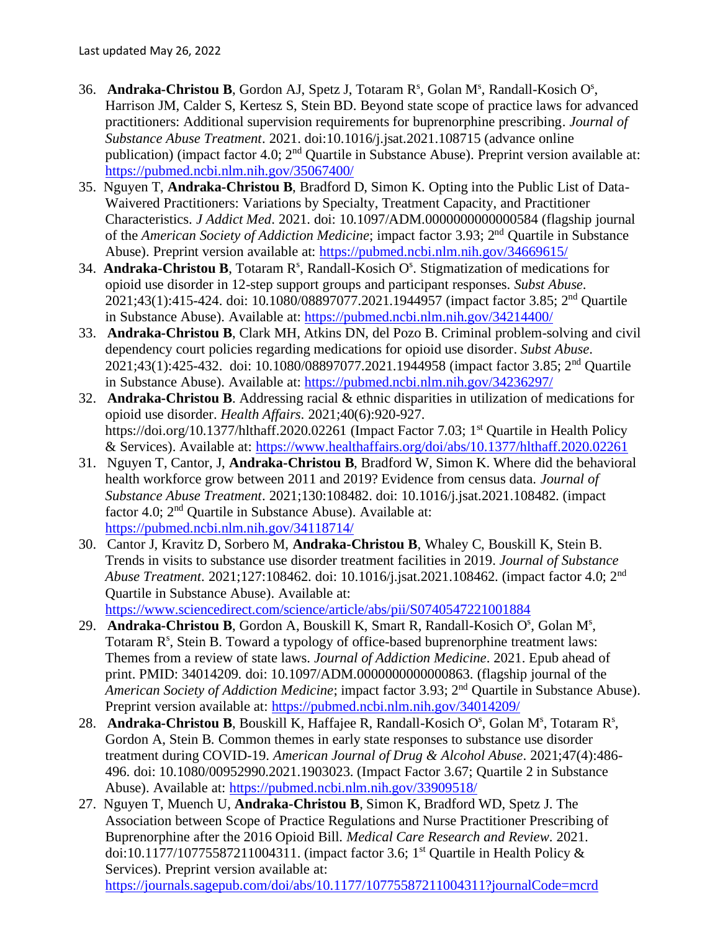- 36. **Andraka-Christou B**, Gordon AJ, Spetz J, Totaram R<sup>s</sup>, Golan M<sup>s</sup>, Randall-Kosich O<sup>s</sup>, Harrison JM, Calder S, Kertesz S, Stein BD. Beyond state scope of practice laws for advanced practitioners: Additional supervision requirements for buprenorphine prescribing. *Journal of Substance Abuse Treatment*. 2021. doi[:10.1016/j.jsat.2021.108715](https://doi.org/10.1016/j.jsat.2021.108715) (advance online publication) (impact factor 4.0;  $2<sup>nd</sup>$  Quartile in Substance Abuse). Preprint version available at: <https://pubmed.ncbi.nlm.nih.gov/35067400/>
- 35. Nguyen T, **Andraka-Christou B**, Bradford D, Simon K. Opting into the Public List of Data-Waivered Practitioners: Variations by Specialty, Treatment Capacity, and Practitioner Characteristics. *J Addict Med*. 2021. doi: 10.1097/ADM.0000000000000584 (flagship journal of the *American Society of Addiction Medicine*; impact factor 3.93; 2<sup>nd</sup> Quartile in Substance Abuse). Preprint version available at:<https://pubmed.ncbi.nlm.nih.gov/34669615/>
- 34. Andraka-Christou B, Totaram R<sup>s</sup>, Randall-Kosich O<sup>s</sup>. Stigmatization of medications for opioid use disorder in 12-step support groups and participant responses. *Subst Abuse*. 2021;43(1):415-424. doi: 10.1080/08897077.2021.1944957 (impact factor 3.85; 2<sup>nd</sup> Quartile in Substance Abuse). Available at:<https://pubmed.ncbi.nlm.nih.gov/34214400/>
- 33. **Andraka-Christou B**, Clark MH, Atkins DN, del Pozo B. Criminal problem-solving and civil dependency court policies regarding medications for opioid use disorder. *Subst Abuse*. 2021;43(1):425-432. doi: 10.1080/08897077.2021.1944958 (impact factor 3.85; 2<sup>nd</sup> Ouartile in Substance Abuse). Available at:<https://pubmed.ncbi.nlm.nih.gov/34236297/>
- 32. **Andraka-Christou B**. Addressing racial & ethnic disparities in utilization of medications for opioid use disorder. *Health Affairs*. 2021;40(6):920-927. https://doi.org/10.1377/hlthaff.2020.02261 (Impact Factor 7.03; 1<sup>st</sup> Quartile in Health Policy & Services). Available at:<https://www.healthaffairs.org/doi/abs/10.1377/hlthaff.2020.02261>
- 31. Nguyen T, Cantor, J, **Andraka-Christou B**, Bradford W, Simon K. Where did the behavioral health workforce grow between 2011 and 2019? Evidence from census data. *Journal of Substance Abuse Treatment*. 2021;130:108482. doi: 10.1016/j.jsat.2021.108482. (impact factor 4.0;  $2<sup>nd</sup>$  Quartile in Substance Abuse). Available at: <https://pubmed.ncbi.nlm.nih.gov/34118714/>
- 30. Cantor J, Kravitz D, Sorbero M, **Andraka-Christou B**, Whaley C, Bouskill K, Stein B. Trends in visits to substance use disorder treatment facilities in 2019. *Journal of Substance Abuse Treatment*. 2021;127:108462. doi: 10.1016/j.jsat.2021.108462. (impact factor 4.0; 2nd Quartile in Substance Abuse). Available at:

<https://www.sciencedirect.com/science/article/abs/pii/S0740547221001884>

- 29. **Andraka-Christou B**, Gordon A, Bouskill K, Smart R, Randall-Kosich O<sup>s</sup>, Golan M<sup>s</sup>, Totaram R<sup>s</sup>, Stein B. Toward a typology of office-based buprenorphine treatment laws: Themes from a review of state laws. *Journal of Addiction Medicine*. 2021. Epub ahead of print. PMID: 34014209. doi: 10.1097/ADM.0000000000000863. (flagship journal of the *American Society of Addiction Medicine*; impact factor 3.93; 2<sup>nd</sup> Quartile in Substance Abuse). Preprint version available at:<https://pubmed.ncbi.nlm.nih.gov/34014209/>
- 28. **Andraka-Christou B**, Bouskill K, Haffajee R, Randall-Kosich O<sup>s</sup>, Golan M<sup>s</sup>, Totaram R<sup>s</sup>, Gordon A, Stein B. Common themes in early state responses to substance use disorder treatment during COVID-19. *American Journal of Drug & Alcohol Abuse*. 2021;47(4):486- 496. doi: [10.1080/00952990.2021.1903023.](https://doi.org/10.1080/00952990.2021.1903023) (Impact Factor 3.67; Quartile 2 in Substance Abuse). Available at:<https://pubmed.ncbi.nlm.nih.gov/33909518/>
- 27. Nguyen T, Muench U, **Andraka-Christou B**, Simon K, Bradford WD, Spetz J. The Association between Scope of Practice Regulations and Nurse Practitioner Prescribing of Buprenorphine after the 2016 Opioid Bill. *Medical Care Research and Review*. 2021. doi[:10.1177/10775587211004311.](https://doi.org/10.1177/10775587211004311) (impact factor 3.6; 1<sup>st</sup> Quartile in Health Policy & Services). Preprint version available at: <https://journals.sagepub.com/doi/abs/10.1177/10775587211004311?journalCode=mcrd>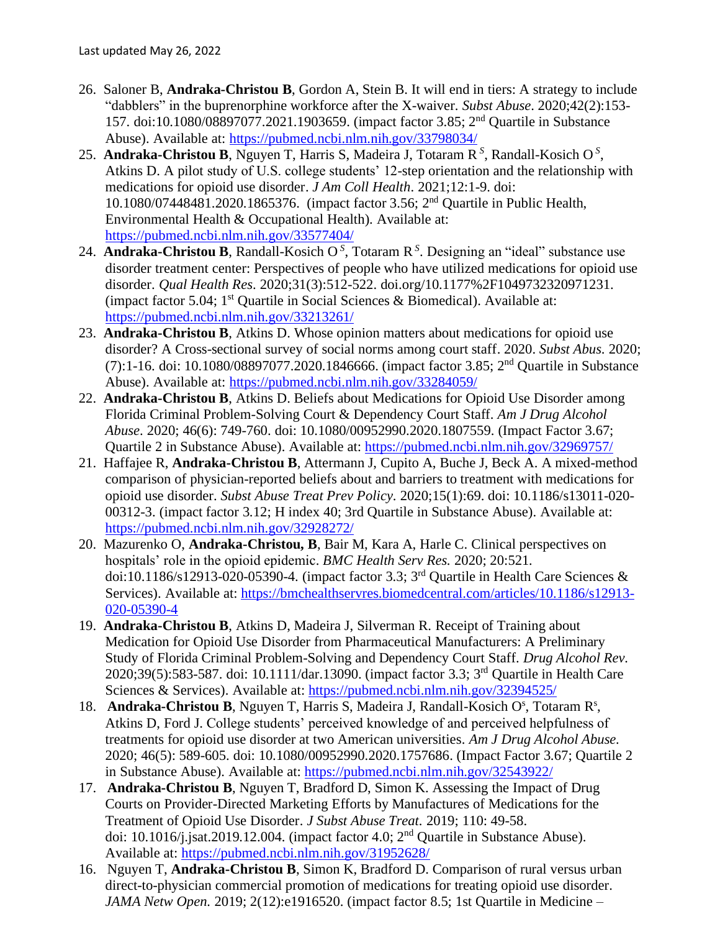- 26. Saloner B, **Andraka-Christou B**, Gordon A, Stein B. It will end in tiers: A strategy to include "dabblers" in the buprenorphine workforce after the X-waiver. *Subst Abuse*. 2020;42(2):153- 157. doi[:10.1080/08897077.2021.1903659.](https://doi.org/10.1080/08897077.2021.1903659) (impact factor 3.85; 2nd Quartile in Substance Abuse). Available at:<https://pubmed.ncbi.nlm.nih.gov/33798034/>
- 25. **Andraka-Christou B**, Nguyen T, Harris S, Madeira J, Totaram R<sup>S</sup>, Randall-Kosich O<sup>S</sup>, Atkins D. A pilot study of U.S. college students' 12-step orientation and the relationship with medications for opioid use disorder. *J Am Coll Health*. 2021;12:1-9. doi: 10.1080/07448481.2020.1865376. (impact factor 3.56; 2 nd Quartile in Public Health, Environmental Health & Occupational Health). Available at: <https://pubmed.ncbi.nlm.nih.gov/33577404/>
- 24. **Andraka-Christou B**, Randall-Kosich O *S* , Totaram R *S* . Designing an "ideal" substance use disorder treatment center: Perspectives of people who have utilized medications for opioid use disorder. *Qual Health Res*. 2020;31(3):512-522. doi.org/10.1177%2F1049732320971231. (impact factor 5.04;  $1<sup>st</sup>$  Quartile in Social Sciences & Biomedical). Available at: <https://pubmed.ncbi.nlm.nih.gov/33213261/>
- 23. **Andraka-Christou B**, Atkins D. Whose opinion matters about medications for opioid use disorder? A Cross-sectional survey of social norms among court staff. 2020. *Subst Abus*. 2020;  $(7)$ :1-16. doi: [10.1080/08897077.2020.1846666.](https://doi.org/10.1080/08897077.2020.1846666) (impact factor 3.85; 2<sup>nd</sup> Quartile in Substance Abuse). Available at:<https://pubmed.ncbi.nlm.nih.gov/33284059/>
- 22. **Andraka-Christou B**, Atkins D. Beliefs about Medications for Opioid Use Disorder among Florida Criminal Problem-Solving Court & Dependency Court Staff. *Am J Drug Alcohol Abuse*. 2020; 46(6): 749-760. doi: 10.1080/00952990.2020.1807559. (Impact Factor 3.67; Quartile 2 in Substance Abuse). Available at:<https://pubmed.ncbi.nlm.nih.gov/32969757/>
- 21. Haffajee R, **Andraka-Christou B**, Attermann J, Cupito A, Buche J, Beck A. A mixed-method comparison of physician-reported beliefs about and barriers to treatment with medications for opioid use disorder. *Subst Abuse Treat Prev Policy*. 2020;15(1):69. [doi: 10.1186/s13011-020-](https://doi.org/10.1186/s13011-020-00312-3) [00312-3.](https://doi.org/10.1186/s13011-020-00312-3) (impact factor 3.12; H index 40; 3rd Quartile in Substance Abuse). Available at: <https://pubmed.ncbi.nlm.nih.gov/32928272/>
- 20. Mazurenko O, **Andraka-Christou, B**, Bair M, Kara A, Harle C. Clinical perspectives on hospitals' role in the opioid epidemic. *BMC Health Serv Res.* 2020; 20:521*.* [doi:10.1186/s12913-020-05390-4.](https://doi.org/10.1186/s12913-020-05390-4) (impact factor 3.3; 3 rd Quartile in Health Care Sciences & Services). Available at: [https://bmchealthservres.biomedcentral.com/articles/10.1186/s12913-](https://bmchealthservres.biomedcentral.com/articles/10.1186/s12913-020-05390-4) [020-05390-4](https://bmchealthservres.biomedcentral.com/articles/10.1186/s12913-020-05390-4)
- 19. **Andraka-Christou B**, Atkins D, Madeira J, Silverman R. Receipt of Training about Medication for Opioid Use Disorder from Pharmaceutical Manufacturers: A Preliminary Study of Florida Criminal Problem-Solving and Dependency Court Staff. *Drug Alcohol Rev.*  2020;39(5):583-587. doi: 10.1111/dar.13090. (impact factor 3.3; 3<sup>rd</sup> Quartile in Health Care Sciences & Services). Available at:<https://pubmed.ncbi.nlm.nih.gov/32394525/>
- 18. **Andraka-Christou B**, Nguyen T, Harris S, Madeira J, Randall-Kosich O<sup>s</sup>, Totaram R<sup>s</sup>, Atkins D, Ford J. College students' perceived knowledge of and perceived helpfulness of treatments for opioid use disorder at two American universities. *Am J Drug Alcohol Abuse.*  2020; 46(5): 589-605. doi: 10.1080/00952990.2020.1757686. (Impact Factor 3.67; Quartile 2 in Substance Abuse). Available at:<https://pubmed.ncbi.nlm.nih.gov/32543922/>
- 17. **Andraka-Christou B**, Nguyen T, Bradford D, Simon K. Assessing the Impact of Drug Courts on Provider-Directed Marketing Efforts by Manufactures of Medications for the Treatment of Opioid Use Disorder. *J Subst Abuse Treat.* 2019; 110: 49-58. doi: [10.1016/j.jsat.2019.12.004.](https://doi.org/10.1016/j.jsat.2019.12.004) (impact factor 4.0;  $2<sup>nd</sup>$  Quartile in Substance Abuse). Available at:<https://pubmed.ncbi.nlm.nih.gov/31952628/>
- 16. Nguyen T, **Andraka-Christou B**, Simon K, Bradford D. Comparison of rural versus urban direct-to-physician commercial promotion of medications for treating opioid use disorder. *JAMA Netw Open.* 2019; 2(12):e1916520. (impact factor 8.5; 1st Quartile in Medicine –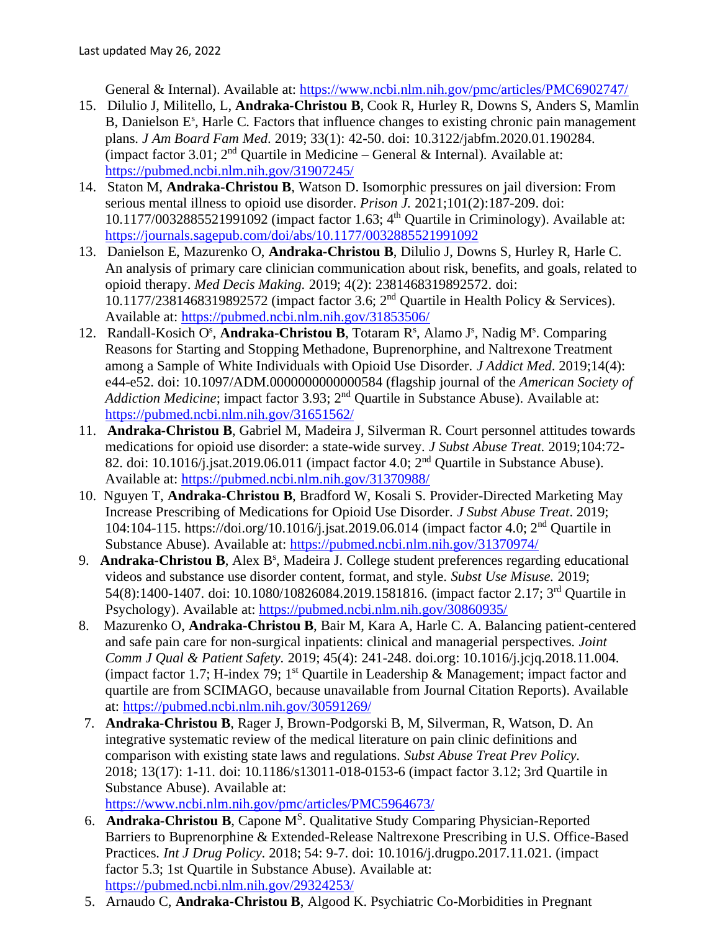General & Internal). Available at:<https://www.ncbi.nlm.nih.gov/pmc/articles/PMC6902747/>

- 15. Dilulio J, Militello, L, **Andraka-Christou B**, Cook R, Hurley R, Downs S, Anders S, Mamlin B, Danielson E<sup>s</sup>, Harle C. Factors that influence changes to existing chronic pain management plans. *J Am Board Fam Med*. 2019; 33(1): 42-50. doi: 10.3122/jabfm.2020.01.190284. (impact factor 3.01;  $2<sup>nd</sup>$  Quartile in Medicine – General & Internal). Available at: <https://pubmed.ncbi.nlm.nih.gov/31907245/>
- 14. Staton M, **Andraka-Christou B**, Watson D. Isomorphic pressures on jail diversion: From serious mental illness to opioid use disorder. *Prison J.* 2021;101(2):187-209. [doi:](https://doi.org/10.1177%2F0032885521991092)  [10.1177/0032885521991092](https://doi.org/10.1177%2F0032885521991092) (impact factor 1.63; 4 th Quartile in Criminology). Available at: <https://journals.sagepub.com/doi/abs/10.1177/0032885521991092>
- 13. Danielson E, Mazurenko O, **Andraka-Christou B**, Dilulio J, Downs S, Hurley R, Harle C. An analysis of primary care clinician communication about risk, benefits, and goals, related to opioid therapy. *Med Decis Making.* 2019; 4(2): 2381468319892572. doi: 10.1177/2381468319892572 (impact factor 3.6; 2<sup>nd</sup> Quartile in Health Policy & Services). Available at:<https://pubmed.ncbi.nlm.nih.gov/31853506/>
- 12. Randall-Kosich O<sup>s</sup>, Andraka-Christou B, Totaram R<sup>s</sup>, Alamo J<sup>s</sup>, Nadig M<sup>s</sup>. Comparing Reasons for Starting and Stopping Methadone, Buprenorphine, and Naltrexone Treatment among a Sample of White Individuals with Opioid Use Disorder. *J Addict Med*. 2019;14(4): e44-e52. doi: 10.1097/ADM.0000000000000584 (flagship journal of the *American Society of Addiction Medicine*; impact factor 3.93; 2<sup>nd</sup> Quartile in Substance Abuse). Available at: <https://pubmed.ncbi.nlm.nih.gov/31651562/>
- 11. **Andraka-Christou B**, Gabriel M, Madeira J, Silverman R. Court personnel attitudes towards medications for opioid use disorder: a state-wide survey. *J Subst Abuse Treat.* 2019;104:72- 82. doi: 10.1016/j.jsat.2019.06.011 (impact factor 4.0;  $2<sup>nd</sup>$  Quartile in Substance Abuse). Available at:<https://pubmed.ncbi.nlm.nih.gov/31370988/>
- 10. Nguyen T, **Andraka-Christou B**, Bradford W, Kosali S. Provider-Directed Marketing May Increase Prescribing of Medications for Opioid Use Disorder. *J Subst Abuse Treat*. 2019; 104:104-115. https://doi.org/10.1016/j.jsat.2019.06.014 (impact factor 4.0; 2nd Quartile in Substance Abuse). Available at:<https://pubmed.ncbi.nlm.nih.gov/31370974/>
- 9. Andraka-Christou B, Alex B<sup>s</sup>, Madeira J. College student preferences regarding educational videos and substance use disorder content, format, and style. *Subst Use Misuse.* 2019; 54(8):1400-1407. doi: 10.1080/10826084.2019.1581816. (impact factor 2.17; 3<sup>rd</sup> Quartile in Psychology). Available at:<https://pubmed.ncbi.nlm.nih.gov/30860935/>
- 8.Mazurenko O, **Andraka-Christou B**, Bair M, Kara A, Harle C. A. Balancing patient-centered and safe pain care for non-surgical inpatients: clinical and managerial perspectives. *Joint Comm J Qual & Patient Safety.* 2019; 45(4): 241-248. [doi.org: 10.1016/j.jcjq.2018.11.004.](https://doi.org/10.1016/j.jcjq.2018.11.004) (impact factor 1.7; H-index 79;  $1<sup>st</sup>$  Quartile in Leadership & Management; impact factor and quartile are from SCIMAGO, because unavailable from Journal Citation Reports). Available at:<https://pubmed.ncbi.nlm.nih.gov/30591269/>
- 7. **Andraka-Christou B**, Rager J, Brown-Podgorski B, M, Silverman, R, Watson, D. An integrative systematic review of the medical literature on pain clinic definitions and comparison with existing state laws and regulations. *Subst Abuse Treat Prev Policy.* 2018; 13(17): 1-11. doi: [10.1186/s13011-018-0153-6](https://dx.doi.org/10.1186%2Fs13011-018-0153-6) (impact factor 3.12; 3rd Quartile in Substance Abuse). Available at:

<https://www.ncbi.nlm.nih.gov/pmc/articles/PMC5964673/>

- 6. **Andraka-Christou B**, Capone M<sup>S</sup>. Qualitative Study Comparing Physician-Reported Barriers to Buprenorphine & Extended-Release Naltrexone Prescribing in U.S. Office-Based Practices. *Int J Drug Policy*. 2018; 54: 9-7. doi: 10.1016/j.drugpo.2017.11.021. (impact factor 5.3; 1st Quartile in Substance Abuse). Available at: <https://pubmed.ncbi.nlm.nih.gov/29324253/>
- 5. Arnaudo C, **Andraka-Christou B**, Algood K. Psychiatric Co-Morbidities in Pregnant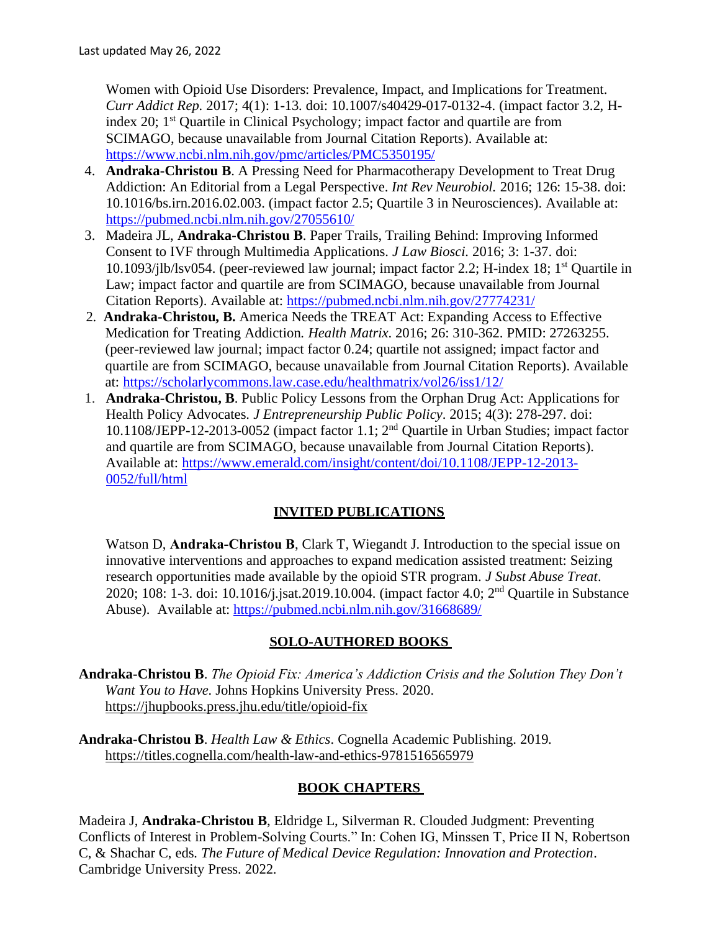Women with Opioid Use Disorders: Prevalence, Impact, and Implications for Treatment. *Curr Addict Rep.* 2017; 4(1): 1-13*.* doi: [10.1007/s40429-017-0132-4.](https://dx.doi.org/10.1007%2Fs40429-017-0132-4) (impact factor 3.2, Hindex 20; 1<sup>st</sup> Quartile in Clinical Psychology; impact factor and quartile are from SCIMAGO, because unavailable from Journal Citation Reports). Available at: <https://www.ncbi.nlm.nih.gov/pmc/articles/PMC5350195/>

- 4. **Andraka-Christou B**. A Pressing Need for Pharmacotherapy Development to Treat Drug Addiction: An Editorial from a Legal Perspective. *Int Rev Neurobiol.* 2016; 126: 15-38. doi: 10.1016/bs.irn.2016.02.003. (impact factor 2.5; Quartile 3 in Neurosciences). Available at: <https://pubmed.ncbi.nlm.nih.gov/27055610/>
- 3. Madeira JL, **Andraka-Christou B**. Paper Trails, Trailing Behind: Improving Informed Consent to IVF through Multimedia Applications. *J Law Biosci.* 2016; 3: 1-37. doi: 10.1093/jlb/lsv054. (peer-reviewed law journal; impact factor 2.2; H-index 18; 1st Quartile in Law; impact factor and quartile are from SCIMAGO, because unavailable from Journal Citation Reports). Available at:<https://pubmed.ncbi.nlm.nih.gov/27774231/>
- 2. **Andraka-Christou, B.** America Needs the TREAT Act: Expanding Access to Effective Medication for Treating Addiction. *Health Matrix*. 2016; 26: 310-362. PMID: 27263255. (peer-reviewed law journal; impact factor 0.24; quartile not assigned; impact factor and quartile are from SCIMAGO, because unavailable from Journal Citation Reports). Available at:<https://scholarlycommons.law.case.edu/healthmatrix/vol26/iss1/12/>
- 1. **Andraka-Christou, B**. Public Policy Lessons from the Orphan Drug Act: Applications for Health Policy Advocates. *J Entrepreneurship Public Policy*. 2015; 4(3): 278-297. [doi:](https://doi.org/10.1108/JEPP-12-2013-0052)  [10.1108/JEPP-12-2013-0052](https://doi.org/10.1108/JEPP-12-2013-0052) (impact factor 1.1; 2 nd Quartile in Urban Studies; impact factor and quartile are from SCIMAGO, because unavailable from Journal Citation Reports). Available at: [https://www.emerald.com/insight/content/doi/10.1108/JEPP-12-2013-](https://www.emerald.com/insight/content/doi/10.1108/JEPP-12-2013-0052/full/html) [0052/full/html](https://www.emerald.com/insight/content/doi/10.1108/JEPP-12-2013-0052/full/html)

## **INVITED PUBLICATIONS**

Watson D, **Andraka-Christou B**, Clark T, Wiegandt J. Introduction to the special issue on innovative interventions and approaches to expand medication assisted treatment: Seizing research opportunities made available by the opioid STR program. *J Subst Abuse Treat*. 2020; 108: 1-3. doi: 10.1016/j.jsat.2019.10.004. (impact factor 4.0;  $2<sup>nd</sup>$  Quartile in Substance Abuse). Available at:<https://pubmed.ncbi.nlm.nih.gov/31668689/>

## **SOLO-AUTHORED BOOKS**

- **Andraka-Christou B**. *The Opioid Fix: America's Addiction Crisis and the Solution They Don't Want You to Have.* Johns Hopkins University Press. 2020. <https://jhupbooks.press.jhu.edu/title/opioid-fix>
- **Andraka-Christou B**. *Health Law & Ethics*. Cognella Academic Publishing. 2019. https://titles.cognella.com/health-law-and-ethics-9781516565979

## **BOOK CHAPTERS**

Madeira J, **Andraka-Christou B**, Eldridge L, Silverman R. Clouded Judgment: Preventing Conflicts of Interest in Problem-Solving Courts." In: Cohen IG, Minssen T, Price II N, Robertson C, & Shachar C, eds*. The Future of Medical Device Regulation: Innovation and Protection*. Cambridge University Press. 2022.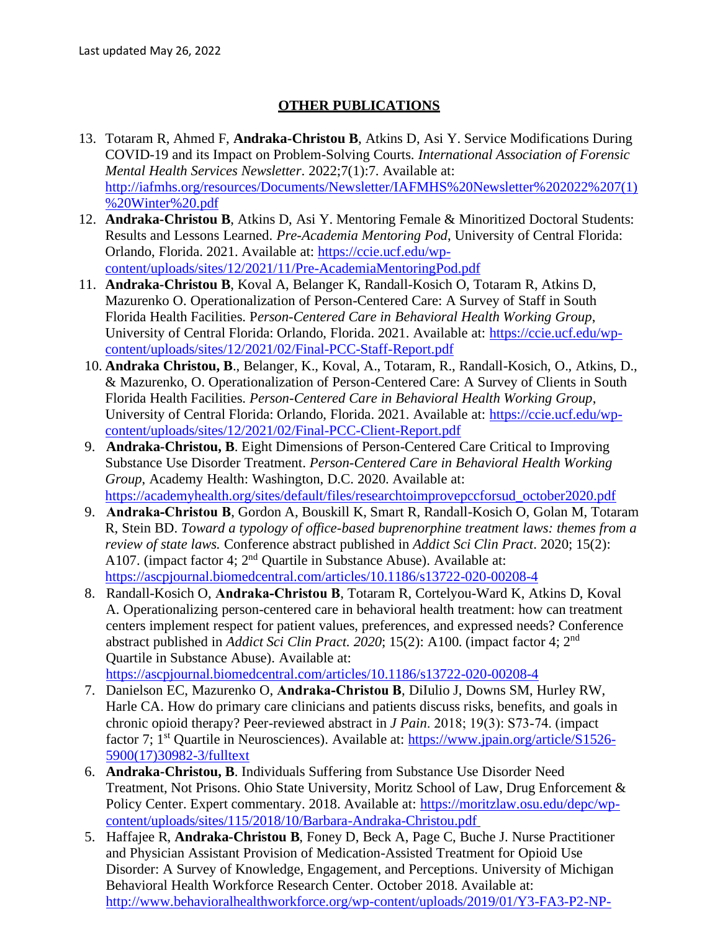### **OTHER PUBLICATIONS**

- 13. Totaram R, Ahmed F, **Andraka-Christou B**, Atkins D, Asi Y. Service Modifications During COVID-19 and its Impact on Problem-Solving Courts. *International Association of Forensic Mental Health Services Newsletter*. 2022;7(1):7. Available at: [http://iafmhs.org/resources/Documents/Newsletter/IAFMHS%20Newsletter%202022%207\(1\)](http://iafmhs.org/resources/Documents/Newsletter/IAFMHS%20Newsletter%202022%207(1)%20Winter%20.pdf) [%20Winter%20.pdf](http://iafmhs.org/resources/Documents/Newsletter/IAFMHS%20Newsletter%202022%207(1)%20Winter%20.pdf)
- 12. **Andraka-Christou B**, Atkins D, Asi Y. Mentoring Female & Minoritized Doctoral Students: Results and Lessons Learned. *Pre-Academia Mentoring Pod*, University of Central Florida: Orlando, Florida. 2021. Available at: [https://ccie.ucf.edu/wp](https://ccie.ucf.edu/wp-content/uploads/sites/12/2021/11/Pre-AcademiaMentoringPod.pdf)[content/uploads/sites/12/2021/11/Pre-AcademiaMentoringPod.pdf](https://ccie.ucf.edu/wp-content/uploads/sites/12/2021/11/Pre-AcademiaMentoringPod.pdf)
- 11. **Andraka-Christou B**, Koval A, Belanger K, Randall-Kosich O, Totaram R, Atkins D, Mazurenko O. Operationalization of Person-Centered Care: A Survey of Staff in South Florida Health Facilities. P*erson-Centered Care in Behavioral Health Working Group*, University of Central Florida: Orlando, Florida. 2021. Available at: [https://ccie.ucf.edu/wp](https://ccie.ucf.edu/wp-content/uploads/sites/12/2021/02/Final-PCC-Staff-Report.pdf)[content/uploads/sites/12/2021/02/Final-PCC-Staff-Report.pdf](https://ccie.ucf.edu/wp-content/uploads/sites/12/2021/02/Final-PCC-Staff-Report.pdf)
- 10. **Andraka Christou, B**., Belanger, K., Koval, A., Totaram, R., Randall-Kosich, O., Atkins, D., & Mazurenko, O. Operationalization of Person-Centered Care: A Survey of Clients in South Florida Health Facilities. *Person-Centered Care in Behavioral Health Working Group*, University of Central Florida: Orlando, Florida. 2021. Available at: [https://ccie.ucf.edu/wp](https://ccie.ucf.edu/wp-content/uploads/sites/12/2021/02/Final-PCC-Client-Report.pdf)[content/uploads/sites/12/2021/02/Final-PCC-Client-Report.pdf](https://ccie.ucf.edu/wp-content/uploads/sites/12/2021/02/Final-PCC-Client-Report.pdf)
- 9. **Andraka-Christou, B**. Eight Dimensions of Person-Centered Care Critical to Improving Substance Use Disorder Treatment. *Person-Centered Care in Behavioral Health Working Group*, Academy Health: Washington, D.C. 2020. Available at: [https://academyhealth.org/sites/default/files/researchtoimprovepccforsud\\_october2020.pdf](https://academyhealth.org/sites/default/files/researchtoimprovepccforsud_october2020.pdf)
- 9. **Andraka‐Christou B**, Gordon A, Bouskill K, Smart R, Randall-Kosich O, Golan M, Totaram R, Stein BD. *Toward a typology of office-based buprenorphine treatment laws: themes from a review of state laws.* Conference abstract published in *Addict Sci Clin Pract*. 2020; 15(2): A107. (impact factor 4;  $2<sup>nd</sup>$  Quartile in Substance Abuse). Available at: <https://ascpjournal.biomedcentral.com/articles/10.1186/s13722-020-00208-4>
- 8. Randall-Kosich O, **Andraka‐Christou B**, Totaram R, Cortelyou-Ward K, Atkins D, Koval A. Operationalizing person-centered care in behavioral health treatment: how can treatment centers implement respect for patient values, preferences, and expressed needs? Conference abstract published in *Addict Sci Clin Pract.* 2020; 15(2): A100. (impact factor 4; 2<sup>nd</sup> Quartile in Substance Abuse). Available at:

<https://ascpjournal.biomedcentral.com/articles/10.1186/s13722-020-00208-4>

- 7. Danielson EC, Mazurenko O, **Andraka‐Christou B**, DiIulio J, Downs SM, Hurley RW, Harle CA. How do primary care clinicians and patients discuss risks, benefits, and goals in chronic opioid therapy? Peer-reviewed abstract in *J Pain*. 2018; 19(3): S73‐74. (impact factor 7; 1<sup>st</sup> Quartile in Neurosciences). Available at: [https://www.jpain.org/article/S1526-](https://www.jpain.org/article/S1526-5900(17)30982-3/fulltext) [5900\(17\)30982-3/fulltext](https://www.jpain.org/article/S1526-5900(17)30982-3/fulltext)
- 6. **Andraka-Christou, B**. Individuals Suffering from Substance Use Disorder Need Treatment, Not Prisons. Ohio State University, Moritz School of Law, Drug Enforcement & Policy Center. Expert commentary. 2018. Available at: [https://moritzlaw.osu.edu/depc/wp](https://moritzlaw.osu.edu/depc/wp-content/uploads/sites/115/2018/10/Barbara-Andraka-Christou.pdf)[content/uploads/sites/115/2018/10/Barbara-Andraka-Christou.pdf](https://moritzlaw.osu.edu/depc/wp-content/uploads/sites/115/2018/10/Barbara-Andraka-Christou.pdf)
- 5.Haffajee R, **Andraka-Christou B**, Foney D, Beck A, Page C, Buche J. Nurse Practitioner and Physician Assistant Provision of Medication-Assisted Treatment for Opioid Use Disorder: A Survey of Knowledge, Engagement, and Perceptions. University of Michigan Behavioral Health Workforce Research Center. October 2018. Available at: [http://www.behavioralhealthworkforce.org/wp-content/uploads/2019/01/Y3-FA3-P2-NP-](http://www.behavioralhealthworkforce.org/wp-content/uploads/2019/01/Y3-FA3-P2-NP-PA-MAT-Full-Report.pdf)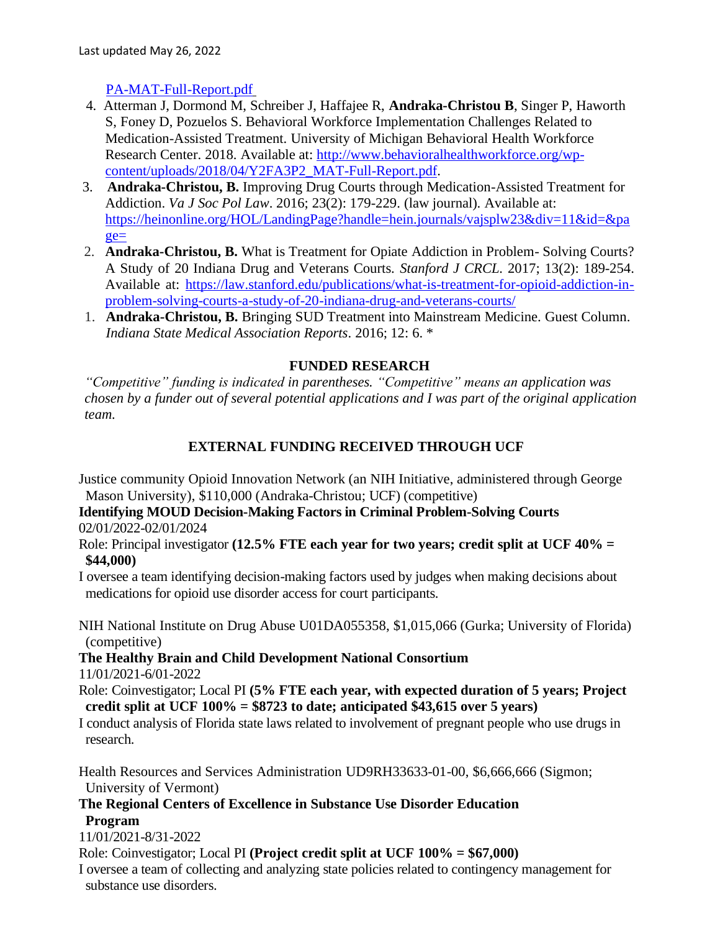## [PA-MAT-Full-Report.pdf](http://www.behavioralhealthworkforce.org/wp-content/uploads/2019/01/Y3-FA3-P2-NP-PA-MAT-Full-Report.pdf)

- 4.Atterman J, Dormond M, Schreiber J, Haffajee R, **Andraka-Christou B**, Singer P, Haworth S, Foney D, Pozuelos S. Behavioral Workforce Implementation Challenges Related to Medication-Assisted Treatment. University of Michigan Behavioral Health Workforce Research Center. 2018. Available at: [http://www.behavioralhealthworkforce.org/wp](http://www.behavioralhealthworkforce.org/wp-content/uploads/2018/04/Y2FA3P2_MAT-Full-Report.pdf)[content/uploads/2018/04/Y2FA3P2\\_MAT-Full-Report.pdf.](http://www.behavioralhealthworkforce.org/wp-content/uploads/2018/04/Y2FA3P2_MAT-Full-Report.pdf)
- 3. **Andraka-Christou, B.** Improving Drug Courts through Medication-Assisted Treatment for Addiction. *Va J Soc Pol Law*. 2016; 23(2): 179-229. (law journal). Available at: [https://heinonline.org/HOL/LandingPage?handle=hein.journals/vajsplw23&div=11&id=&pa](https://heinonline.org/HOL/LandingPage?handle=hein.journals/vajsplw23&div=11&id=&page=) [ge=](https://heinonline.org/HOL/LandingPage?handle=hein.journals/vajsplw23&div=11&id=&page=)
- 2. **Andraka-Christou, B.** What is Treatment for Opiate Addiction in Problem- Solving Courts? A Study of 20 Indiana Drug and Veterans Courts. *Stanford J CRCL.* 2017; 13(2): 189-254. Available at: [https://law.stanford.edu/publications/what-is-treatment-for-opioid-addiction-in](https://law.stanford.edu/publications/what-is-treatment-for-opioid-addiction-in-problem-solving-courts-a-study-of-20-indiana-drug-and-veterans-courts/)[problem-solving-courts-a-study-of-20-indiana-drug-and-veterans-courts/](https://law.stanford.edu/publications/what-is-treatment-for-opioid-addiction-in-problem-solving-courts-a-study-of-20-indiana-drug-and-veterans-courts/)
- 1. **Andraka-Christou, B.** Bringing SUD Treatment into Mainstream Medicine. Guest Column. *Indiana State Medical Association Reports*. 2016; 12: 6. \*

### **FUNDED RESEARCH**

*"Competitive" funding is indicated in parentheses. "Competitive" means an application was chosen by a funder out of several potential applications and I was part of the original application team.*

## **EXTERNAL FUNDING RECEIVED THROUGH UCF**

Justice community Opioid Innovation Network (an NIH Initiative, administered through George Mason University), \$110,000 (Andraka-Christou; UCF) (competitive)

**Identifying MOUD Decision-Making Factors in Criminal Problem-Solving Courts**  02/01/2022-02/01/2024

Role: Principal investigator **(12.5% FTE each year for two years; credit split at UCF 40% = \$44,000)** 

I oversee a team identifying decision-making factors used by judges when making decisions about medications for opioid use disorder access for court participants.

NIH National Institute on Drug Abuse U01DA055358, \$1,015,066 (Gurka; University of Florida) (competitive)

**The Healthy Brain and Child Development National Consortium** 11/01/2021-6/01-2022

Role: Coinvestigator; Local PI **(5% FTE each year, with expected duration of 5 years; Project credit split at UCF 100% = \$8723 to date; anticipated \$43,615 over 5 years)** 

I conduct analysis of Florida state laws related to involvement of pregnant people who use drugs in research.

Health Resources and Services Administration UD9RH33633-01-00, \$6,666,666 (Sigmon; University of Vermont)

**The Regional Centers of Excellence in Substance Use Disorder Education Program**

11/01/2021-8/31-2022

Role: Coinvestigator; Local PI **(Project credit split at UCF 100% = \$67,000)** 

I oversee a team of collecting and analyzing state policies related to contingency management for substance use disorders.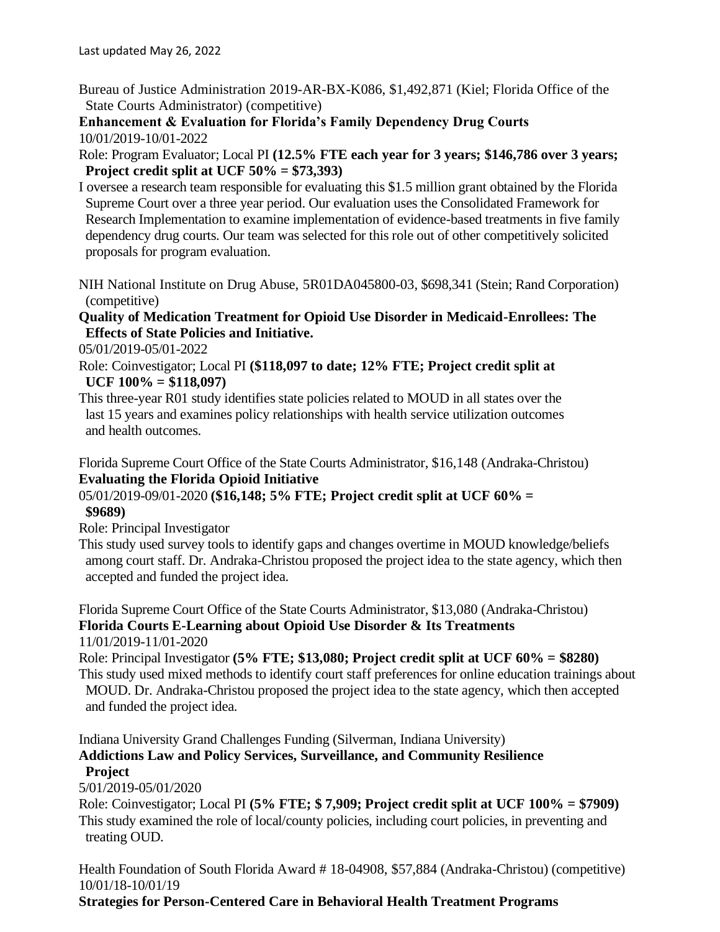Bureau of Justice Administration 2019-AR-BX-K086, \$1,492,871 (Kiel; Florida Office of the State Courts Administrator) (competitive)

**Enhancement & Evaluation for Florida's Family Dependency Drug Courts** 10/01/2019-10/01-2022

Role: Program Evaluator; Local PI **(12.5% FTE each year for 3 years; \$146,786 over 3 years; Project credit split at UCF 50% = \$73,393)** 

- I oversee a research team responsible for evaluating this \$1.5 million grant obtained by the Florida Supreme Court over a three year period. Our evaluation uses the Consolidated Framework for Research Implementation to examine implementation of evidence-based treatments in five family dependency drug courts. Our team was selected for this role out of other competitively solicited proposals for program evaluation.
- NIH National Institute on Drug Abuse, 5R01DA045800-03, \$698,341 (Stein; Rand Corporation) (competitive)

**Quality of Medication Treatment for Opioid Use Disorder in Medicaid-Enrollees: The Effects of State Policies and Initiative.** 

05/01/2019-05/01-2022

Role: Coinvestigator; Local PI **(\$118,097 to date; 12% FTE; Project credit split at UCF 100% = \$118,097)**

This three-year R01 study identifies state policies related to MOUD in all states over the last 15 years and examines policy relationships with health service utilization outcomes and health outcomes.

Florida Supreme Court Office of the State Courts Administrator, \$16,148 (Andraka-Christou) **Evaluating the Florida Opioid Initiative** 

## 05/01/2019-09/01-2020 **(\$16,148; 5% FTE; Project credit split at UCF 60% = \$9689)**

Role: Principal Investigator

This study used survey tools to identify gaps and changes overtime in MOUD knowledge/beliefs among court staff. Dr. Andraka-Christou proposed the project idea to the state agency, which then accepted and funded the project idea.

Florida Supreme Court Office of the State Courts Administrator, \$13,080 (Andraka-Christou) **Florida Courts E-Learning about Opioid Use Disorder & Its Treatments**  11/01/2019-11/01-2020

Role: Principal Investigator **(5% FTE; \$13,080; Project credit split at UCF 60% = \$8280)** This study used mixed methods to identify court staff preferences for online education trainings about MOUD. Dr. Andraka-Christou proposed the project idea to the state agency, which then accepted and funded the project idea.

Indiana University Grand Challenges Funding (Silverman, Indiana University)

## **Addictions Law and Policy Services, Surveillance, and Community Resilience Project**

5/01/2019-05/01/2020

Role: Coinvestigator; Local PI **(5% FTE; \$ 7,909; Project credit split at UCF 100% = \$7909)** This study examined the role of local/county policies, including court policies, in preventing and treating OUD.

Health Foundation of South Florida Award # 18-04908, \$57,884 (Andraka-Christou) (competitive) 10/01/18-10/01/19 **Strategies for Person-Centered Care in Behavioral Health Treatment Programs**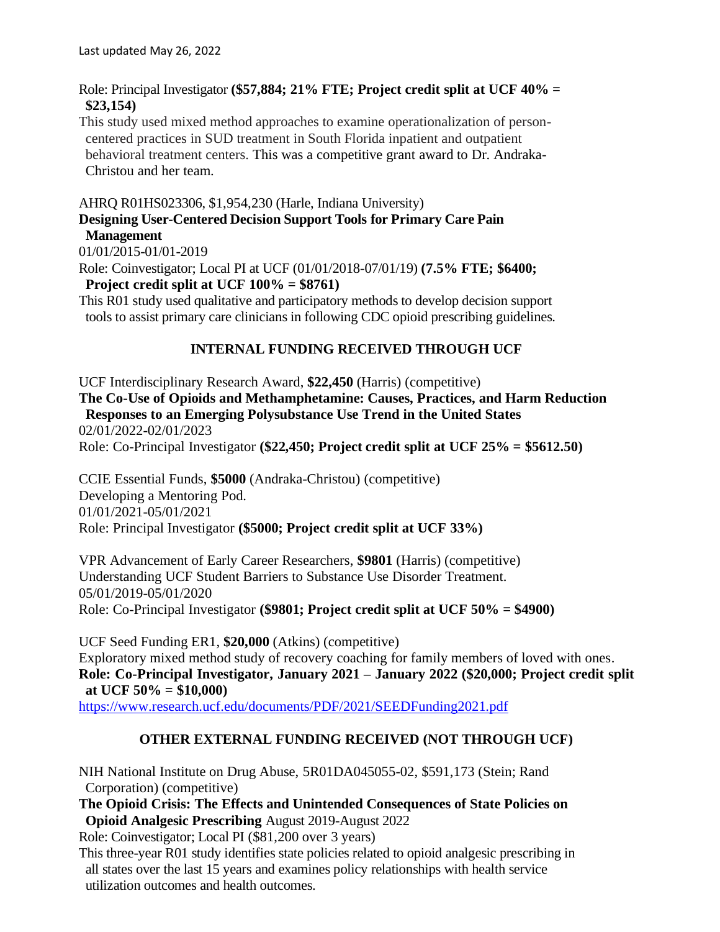Role: Principal Investigator **(\$57,884; 21% FTE; Project credit split at UCF 40% = \$23,154)**

This study used mixed method approaches to examine operationalization of personcentered practices in SUD treatment in South Florida inpatient and outpatient behavioral treatment centers. This was a competitive grant award to Dr. Andraka-Christou and her team.

## AHRQ R01HS023306, \$1,954,230 (Harle, Indiana University) **Designing User-Centered Decision Support Tools for Primary Care Pain Management**

01/01/2015-01/01-2019

Role: Coinvestigator; Local PI at UCF (01/01/2018-07/01/19) **(7.5% FTE; \$6400; Project credit split at UCF 100% = \$8761)**

This R01 study used qualitative and participatory methods to develop decision support tools to assist primary care clinicians in following CDC opioid prescribing guidelines.

### **INTERNAL FUNDING RECEIVED THROUGH UCF**

UCF Interdisciplinary Research Award, **\$22,450** (Harris) (competitive)

**The Co-Use of Opioids and Methamphetamine: Causes, Practices, and Harm Reduction Responses to an Emerging Polysubstance Use Trend in the United States** 02/01/2022-02/01/2023

Role: Co-Principal Investigator **(\$22,450; Project credit split at UCF 25% = \$5612.50)**

CCIE Essential Funds, **\$5000** (Andraka-Christou) (competitive) Developing a Mentoring Pod. 01/01/2021-05/01/2021 Role: Principal Investigator **(\$5000; Project credit split at UCF 33%)**

VPR Advancement of Early Career Researchers, **\$9801** (Harris) (competitive) Understanding UCF Student Barriers to Substance Use Disorder Treatment. 05/01/2019-05/01/2020 Role: Co-Principal Investigator **(\$9801; Project credit split at UCF 50% = \$4900)**

UCF Seed Funding ER1, **\$20,000** (Atkins) (competitive) Exploratory mixed method study of recovery coaching for family members of loved with ones. **Role: Co-Principal Investigator, January 2021 – January 2022 (\$20,000; Project credit split at UCF 50% = \$10,000)**

<https://www.research.ucf.edu/documents/PDF/2021/SEEDFunding2021.pdf>

## **OTHER EXTERNAL FUNDING RECEIVED (NOT THROUGH UCF)**

NIH National Institute on Drug Abuse, 5R01DA045055-02, \$591,173 (Stein; Rand Corporation) (competitive)

**The Opioid Crisis: The Effects and Unintended Consequences of State Policies on Opioid Analgesic Prescribing** August 2019-August 2022

Role: Coinvestigator; Local PI (\$81,200 over 3 years)

This three-year R01 study identifies state policies related to opioid analgesic prescribing in all states over the last 15 years and examines policy relationships with health service utilization outcomes and health outcomes.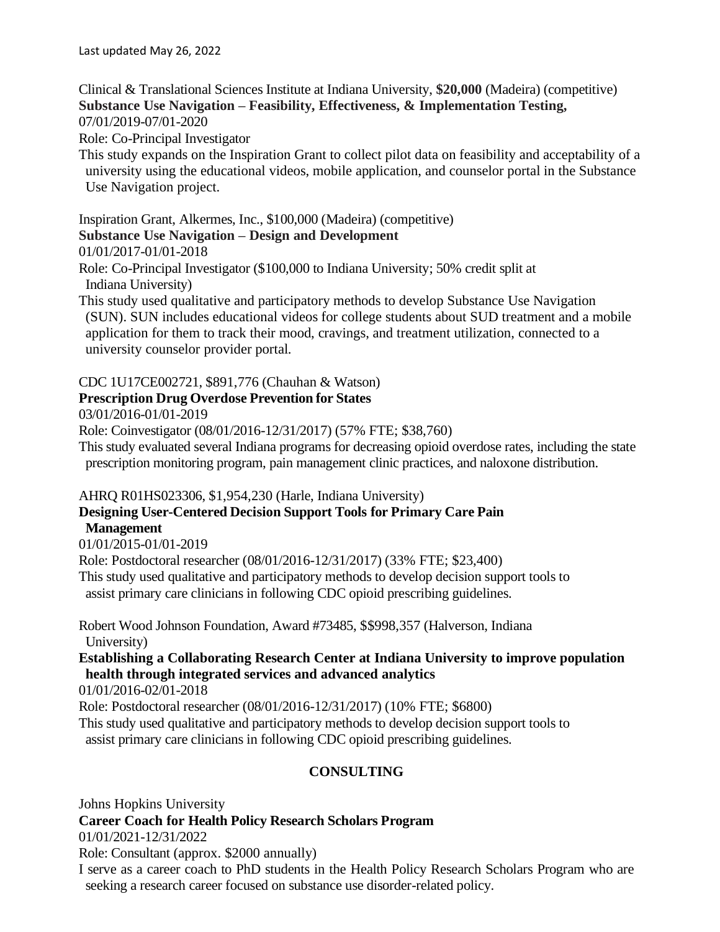Clinical & Translational Sciences Institute at Indiana University, **\$20,000** (Madeira) (competitive) **Substance Use Navigation – Feasibility, Effectiveness, & Implementation Testing,**  07/01/2019-07/01-2020

Role: Co-Principal Investigator

This study expands on the Inspiration Grant to collect pilot data on feasibility and acceptability of a university using the educational videos, mobile application, and counselor portal in the Substance Use Navigation project.

Inspiration Grant, Alkermes, Inc., \$100,000 (Madeira) (competitive)

### **Substance Use Navigation – Design and Development**

01/01/2017-01/01-2018

Role: Co-Principal Investigator (\$100,000 to Indiana University; 50% credit split at Indiana University)

This study used qualitative and participatory methods to develop Substance Use Navigation (SUN). SUN includes educational videos for college students about SUD treatment and a mobile application for them to track their mood, cravings, and treatment utilization, connected to a university counselor provider portal.

#### CDC 1U17CE002721, \$891,776 (Chauhan & Watson)

#### **Prescription Drug Overdose Prevention for States**

03/01/2016-01/01-2019

Role: Coinvestigator (08/01/2016-12/31/2017) (57% FTE; \$38,760)

This study evaluated several Indiana programs for decreasing opioid overdose rates, including the state prescription monitoring program, pain management clinic practices, and naloxone distribution.

AHRQ R01HS023306, \$1,954,230 (Harle, Indiana University)

## **Designing User-Centered Decision Support Tools for Primary Care Pain Management**

01/01/2015-01/01-2019

Role: Postdoctoral researcher (08/01/2016-12/31/2017) (33% FTE; \$23,400) This study used qualitative and participatory methods to develop decision support tools to assist primary care clinicians in following CDC opioid prescribing guidelines.

Robert Wood Johnson Foundation, Award #73485, \$\$998,357 (Halverson, Indiana University)

## **Establishing a Collaborating Research Center at Indiana University to improve population health through integrated services and advanced analytics**

01/01/2016-02/01-2018

Role: Postdoctoral researcher (08/01/2016-12/31/2017) (10% FTE; \$6800)

This study used qualitative and participatory methods to develop decision support tools to assist primary care clinicians in following CDC opioid prescribing guidelines.

## **CONSULTING**

Johns Hopkins University

#### **Career Coach for Health Policy Research Scholars Program**

01/01/2021-12/31/2022

Role: Consultant (approx. \$2000 annually)

I serve as a career coach to PhD students in the Health Policy Research Scholars Program who are seeking a research career focused on substance use disorder-related policy.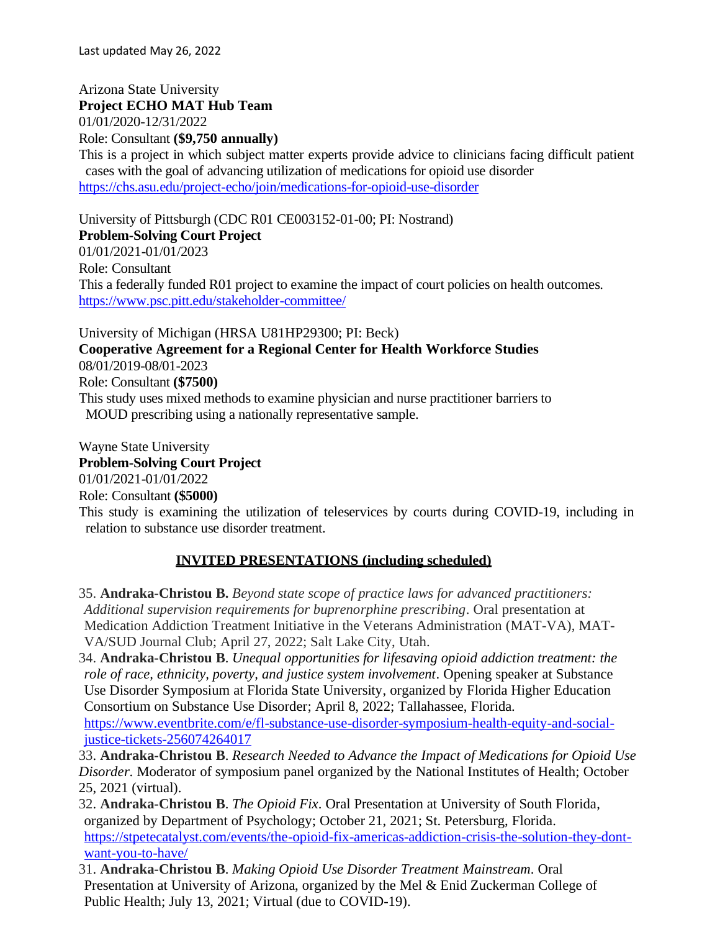Last updated May 26, 2022

Arizona State University **Project ECHO MAT Hub Team** 01/01/2020-12/31/2022 Role: Consultant **(\$9,750 annually)** This is a project in which subject matter experts provide advice to clinicians facing difficult patient cases with the goal of advancing utilization of medications for opioid use disorder <https://chs.asu.edu/project-echo/join/medications-for-opioid-use-disorder>

University of Pittsburgh (CDC R01 CE003152-01-00; PI: Nostrand) **Problem-Solving Court Project** 01/01/2021-01/01/2023 Role: Consultant This a federally funded R01 project to examine the impact of court policies on health outcomes. <https://www.psc.pitt.edu/stakeholder-committee/>

University of Michigan (HRSA U81HP29300; PI: Beck) **Cooperative Agreement for a Regional Center for Health Workforce Studies** 08/01/2019-08/01-2023 Role: Consultant **(\$7500)** This study uses mixed methods to examine physician and nurse practitioner barriers to MOUD prescribing using a nationally representative sample.

Wayne State University **Problem-Solving Court Project** 01/01/2021-01/01/2022 Role: Consultant **(\$5000)** This study is examining the utilization of teleservices by courts during COVID-19, including in relation to substance use disorder treatment.

#### **INVITED PRESENTATIONS (including scheduled)**

35. **Andraka-Christou B.** *Beyond state scope of practice laws for advanced practitioners: Additional supervision requirements for buprenorphine prescribing*. Oral presentation at Medication Addiction Treatment Initiative in the Veterans Administration (MAT-VA), MAT-VA/SUD Journal Club; April 27, 2022; Salt Lake City, Utah.

34. **Andraka-Christou B**. *Unequal opportunities for lifesaving opioid addiction treatment: the role of race, ethnicity, poverty, and justice system involvement*. Opening speaker at Substance Use Disorder Symposium at Florida State University, organized by Florida Higher Education Consortium on Substance Use Disorder; April 8, 2022; Tallahassee, Florida.

[https://www.eventbrite.com/e/fl-substance-use-disorder-symposium-health-equity-and-social](https://www.eventbrite.com/e/fl-substance-use-disorder-symposium-health-equity-and-social-justice-tickets-256074264017)[justice-tickets-256074264017](https://www.eventbrite.com/e/fl-substance-use-disorder-symposium-health-equity-and-social-justice-tickets-256074264017)

33. **Andraka-Christou B**. *Research Needed to Advance the Impact of Medications for Opioid Use Disorder*. Moderator of symposium panel organized by the National Institutes of Health; October 25, 2021 (virtual).

- 32. **Andraka-Christou B**. *The Opioid Fix*. Oral Presentation at University of South Florida, organized by Department of Psychology; October 21, 2021; St. Petersburg, Florida. [https://stpetecatalyst.com/events/the-opioid-fix-americas-addiction-crisis-the-solution-they-dont](https://stpetecatalyst.com/events/the-opioid-fix-americas-addiction-crisis-the-solution-they-dont-want-you-to-have/)[want-you-to-have/](https://stpetecatalyst.com/events/the-opioid-fix-americas-addiction-crisis-the-solution-they-dont-want-you-to-have/)
- 31. **Andraka-Christou B**. *Making Opioid Use Disorder Treatment Mainstream*. Oral Presentation at University of Arizona, organized by the Mel & Enid Zuckerman College of Public Health; July 13, 2021; Virtual (due to COVID-19).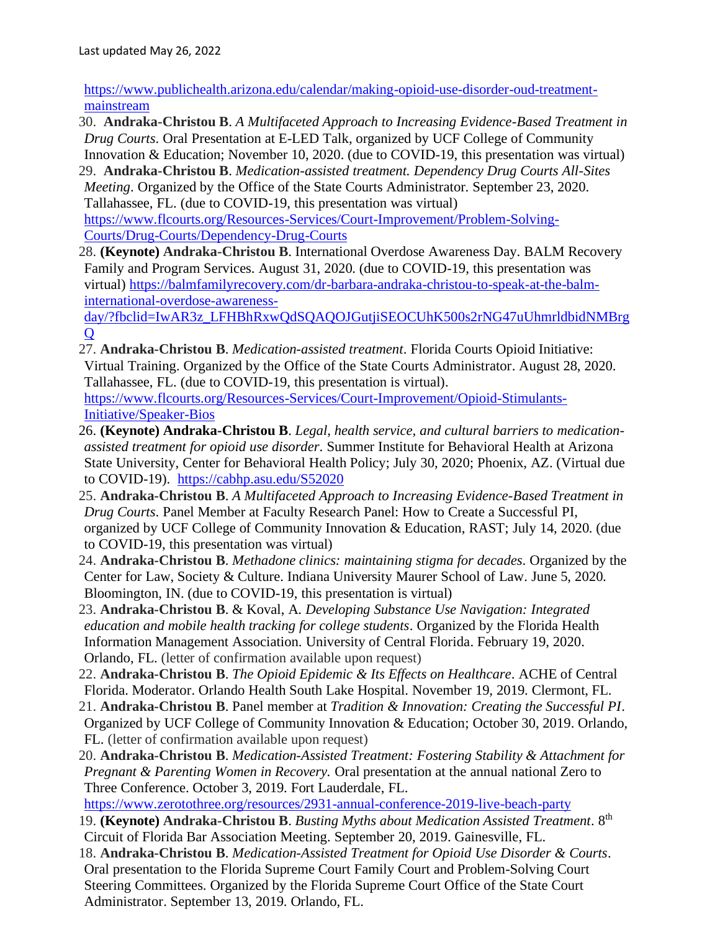[https://www.publichealth.arizona.edu/calendar/making-opioid-use-disorder-oud-treatment](https://www.publichealth.arizona.edu/calendar/making-opioid-use-disorder-oud-treatment-mainstream)[mainstream](https://www.publichealth.arizona.edu/calendar/making-opioid-use-disorder-oud-treatment-mainstream)

- 30. **Andraka-Christou B**. *A Multifaceted Approach to Increasing Evidence-Based Treatment in Drug Courts*. Oral Presentation at E-LED Talk, organized by UCF College of Community Innovation & Education; November 10, 2020. (due to COVID-19, this presentation was virtual)
- 29. **Andraka-Christou B**. *Medication-assisted treatment. Dependency Drug Courts All-Sites Meeting*. Organized by the Office of the State Courts Administrator. September 23, 2020. Tallahassee, FL. (due to COVID-19, this presentation was virtual) [https://www.flcourts.org/Resources-Services/Court-Improvement/Problem-Solving-](https://www.flcourts.org/Resources-Services/Court-Improvement/Problem-Solving-Courts/Drug-Courts/Dependency-Drug-Courts)[Courts/Drug-Courts/Dependency-Drug-Courts](https://www.flcourts.org/Resources-Services/Court-Improvement/Problem-Solving-Courts/Drug-Courts/Dependency-Drug-Courts)
- 28. **(Keynote) Andraka-Christou B**. International Overdose Awareness Day. BALM Recovery Family and Program Services. August 31, 2020. (due to COVID-19, this presentation was virtual) [https://balmfamilyrecovery.com/dr-barbara-andraka-christou-to-speak-at-the-balm](https://balmfamilyrecovery.com/dr-barbara-andraka-christou-to-speak-at-the-balm-international-overdose-awareness-day/?fbclid=IwAR3z_LFHBhRxwQdSQAQOJGutjiSEOCUhK500s2rNG47uUhmrldbidNMBrgQ)[international-overdose-awareness-](https://balmfamilyrecovery.com/dr-barbara-andraka-christou-to-speak-at-the-balm-international-overdose-awareness-day/?fbclid=IwAR3z_LFHBhRxwQdSQAQOJGutjiSEOCUhK500s2rNG47uUhmrldbidNMBrgQ)

[day/?fbclid=IwAR3z\\_LFHBhRxwQdSQAQOJGutjiSEOCUhK500s2rNG47uUhmrldbidNMBrg](https://balmfamilyrecovery.com/dr-barbara-andraka-christou-to-speak-at-the-balm-international-overdose-awareness-day/?fbclid=IwAR3z_LFHBhRxwQdSQAQOJGutjiSEOCUhK500s2rNG47uUhmrldbidNMBrgQ)  $\Omega$ 

27. **Andraka-Christou B**. *Medication-assisted treatment*. Florida Courts Opioid Initiative: Virtual Training. Organized by the Office of the State Courts Administrator. August 28, 2020. Tallahassee, FL. (due to COVID-19, this presentation is virtual).

[https://www.flcourts.org/Resources-Services/Court-Improvement/Opioid-Stimulants-](https://www.flcourts.org/Resources-Services/Court-Improvement/Opioid-Stimulants-Initiative/Speaker-Bios)[Initiative/Speaker-Bios](https://www.flcourts.org/Resources-Services/Court-Improvement/Opioid-Stimulants-Initiative/Speaker-Bios)

- 26. **(Keynote) Andraka-Christou B**. *Legal, health service, and cultural barriers to medicationassisted treatment for opioid use disorder*. Summer Institute for Behavioral Health at Arizona State University, Center for Behavioral Health Policy; July 30, 2020; Phoenix, AZ. (Virtual due to COVID-19). <https://cabhp.asu.edu/S52020>
- 25. **Andraka-Christou B**. *A Multifaceted Approach to Increasing Evidence-Based Treatment in Drug Courts*. Panel Member at Faculty Research Panel: How to Create a Successful PI, organized by UCF College of Community Innovation & Education, RAST; July 14, 2020. (due to COVID-19, this presentation was virtual)
- 24. **Andraka-Christou B**. *Methadone clinics: maintaining stigma for decades*. Organized by the Center for Law, Society & Culture. Indiana University Maurer School of Law. June 5, 2020. Bloomington, IN. (due to COVID-19, this presentation is virtual)
- 23. **Andraka-Christou B**. & Koval, A. *Developing Substance Use Navigation: Integrated education and mobile health tracking for college students*. Organized by the Florida Health Information Management Association. University of Central Florida. February 19, 2020. Orlando, FL. (letter of confirmation available upon request)
- 22. **Andraka-Christou B**. *The Opioid Epidemic & Its Effects on Healthcare*. ACHE of Central Florida. Moderator. Orlando Health South Lake Hospital. November 19, 2019. Clermont, FL.
- 21. **Andraka-Christou B**. Panel member at *Tradition & Innovation: Creating the Successful PI*. Organized by UCF College of Community Innovation & Education; October 30, 2019. Orlando, FL. (letter of confirmation available upon request)
- 20. **Andraka-Christou B**. *Medication-Assisted Treatment: Fostering Stability & Attachment for Pregnant & Parenting Women in Recovery.* Oral presentation at the annual national Zero to Three Conference. October 3, 2019. Fort Lauderdale, FL.

<https://www.zerotothree.org/resources/2931-annual-conference-2019-live-beach-party>

- 19. **(Keynote) Andraka-Christou B**. *Busting Myths about Medication Assisted Treatment*. 8th Circuit of Florida Bar Association Meeting. September 20, 2019. Gainesville, FL.
- 18. **Andraka-Christou B**. *Medication-Assisted Treatment for Opioid Use Disorder & Courts*. Oral presentation to the Florida Supreme Court Family Court and Problem-Solving Court Steering Committees. Organized by the Florida Supreme Court Office of the State Court Administrator. September 13, 2019. Orlando, FL.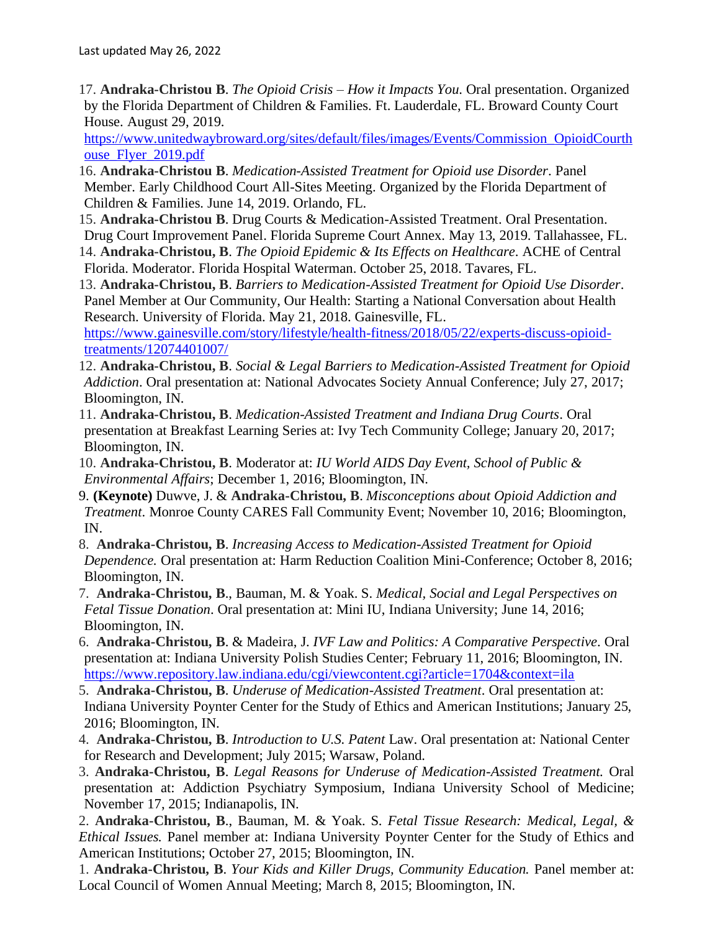17. **Andraka-Christou B**. *The Opioid Crisis – How it Impacts You*. Oral presentation. Organized by the Florida Department of Children & Families. Ft. Lauderdale, FL. Broward County Court House. August 29, 2019.

[https://www.unitedwaybroward.org/sites/default/files/images/Events/Commission\\_OpioidCourth](https://www.unitedwaybroward.org/sites/default/files/images/Events/Commission_OpioidCourthouse_Flyer_2019.pdf) [ouse\\_Flyer\\_2019.pdf](https://www.unitedwaybroward.org/sites/default/files/images/Events/Commission_OpioidCourthouse_Flyer_2019.pdf)

- 16. **Andraka-Christou B**. *Medication-Assisted Treatment for Opioid use Disorder*. Panel Member. Early Childhood Court All-Sites Meeting. Organized by the Florida Department of Children & Families. June 14, 2019. Orlando, FL.
- 15. **Andraka-Christou B**. Drug Courts & Medication-Assisted Treatment. Oral Presentation. Drug Court Improvement Panel. Florida Supreme Court Annex. May 13, 2019. Tallahassee, FL.
- 14. **Andraka-Christou, B**. *The Opioid Epidemic & Its Effects on Healthcare*. ACHE of Central Florida. Moderator. Florida Hospital Waterman. October 25, 2018. Tavares, FL.
- 13. **Andraka-Christou, B**. *Barriers to Medication-Assisted Treatment for Opioid Use Disorder*. Panel Member at Our Community, Our Health: Starting a National Conversation about Health Research. University of Florida. May 21, 2018. Gainesville, FL.

[https://www.gainesville.com/story/lifestyle/health-fitness/2018/05/22/experts-discuss-opioid](https://www.gainesville.com/story/lifestyle/health-fitness/2018/05/22/experts-discuss-opioid-treatments/12074401007/)[treatments/12074401007/](https://www.gainesville.com/story/lifestyle/health-fitness/2018/05/22/experts-discuss-opioid-treatments/12074401007/)

- 12. **Andraka-Christou, B**. *Social & Legal Barriers to Medication-Assisted Treatment for Opioid Addiction*. Oral presentation at: National Advocates Society Annual Conference; July 27, 2017; Bloomington, IN.
- 11. **Andraka-Christou, B**. *Medication-Assisted Treatment and Indiana Drug Courts*. Oral presentation at Breakfast Learning Series at: Ivy Tech Community College; January 20, 2017; Bloomington, IN.
- 10. **Andraka-Christou, B**. Moderator at: *IU World AIDS Day Event, School of Public & Environmental Affairs*; December 1, 2016; Bloomington, IN.
- 9. **(Keynote)** Duwve, J. & **Andraka-Christou, B**. *Misconceptions about Opioid Addiction and Treatment*. Monroe County CARES Fall Community Event; November 10, 2016; Bloomington, IN.
- 8. **Andraka-Christou, B**. *Increasing Access to Medication-Assisted Treatment for Opioid Dependence.* Oral presentation at: Harm Reduction Coalition Mini-Conference; October 8, 2016; Bloomington, IN.
- 7. **Andraka-Christou, B**., Bauman, M. & Yoak. S. *Medical, Social and Legal Perspectives on Fetal Tissue Donation*. Oral presentation at: Mini IU, Indiana University; June 14, 2016; Bloomington, IN.
- 6. **Andraka-Christou, B**. & Madeira, J. *IVF Law and Politics: A Comparative Perspective*. Oral presentation at: Indiana University Polish Studies Center; February 11, 2016; Bloomington, IN. <https://www.repository.law.indiana.edu/cgi/viewcontent.cgi?article=1704&context=ila>
- 5. **Andraka-Christou, B**. *Underuse of Medication-Assisted Treatment*. Oral presentation at: Indiana University Poynter Center for the Study of Ethics and American Institutions; January 25, 2016; Bloomington, IN.
- 4. **Andraka-Christou, B**. *Introduction to U.S. Patent* Law. Oral presentation at: National Center for Research and Development; July 2015; Warsaw, Poland.
- 3. **Andraka-Christou, B**. *Legal Reasons for Underuse of Medication-Assisted Treatment.* Oral presentation at: Addiction Psychiatry Symposium, Indiana University School of Medicine; November 17, 2015; Indianapolis, IN.

2. **Andraka-Christou, B**., Bauman, M. & Yoak. S. *Fetal Tissue Research: Medical, Legal, & Ethical Issues.* Panel member at: Indiana University Poynter Center for the Study of Ethics and American Institutions; October 27, 2015; Bloomington, IN.

1. **Andraka-Christou, B**. *Your Kids and Killer Drugs, Community Education.* Panel member at: Local Council of Women Annual Meeting; March 8, 2015; Bloomington, IN.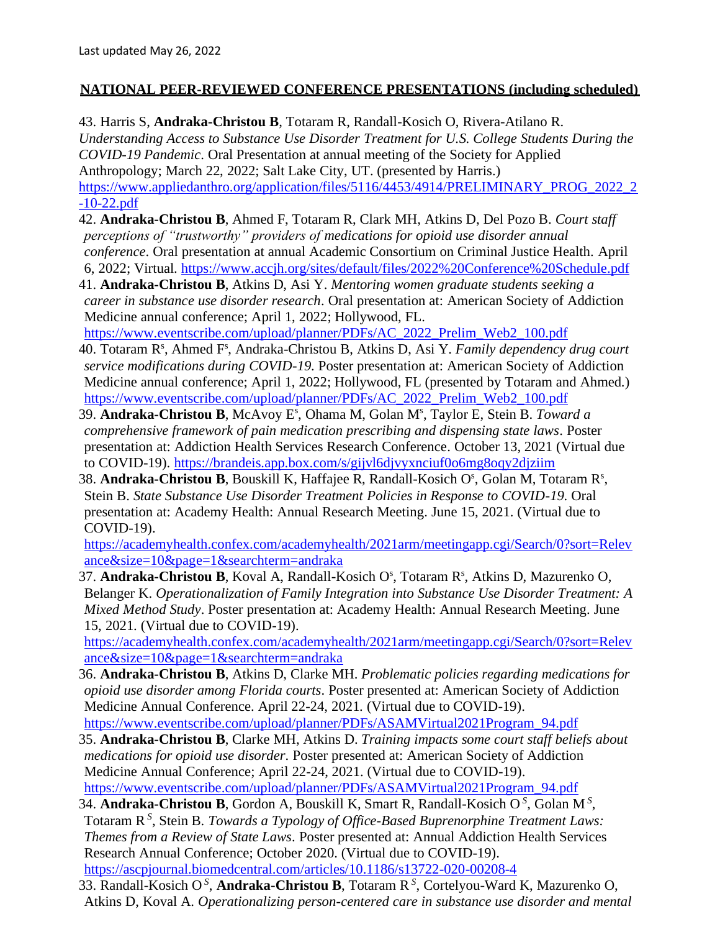#### **NATIONAL PEER-REVIEWED CONFERENCE PRESENTATIONS (including scheduled)**

43. Harris S, **Andraka-Christou B**, Totaram R, Randall-Kosich O, Rivera-Atilano R. *Understanding Access to Substance Use Disorder Treatment for U.S. College Students During the COVID-19 Pandemic*. Oral Presentation at annual meeting of the Society for Applied Anthropology; March 22, 2022; Salt Lake City, UT. (presented by Harris.) [https://www.appliedanthro.org/application/files/5116/4453/4914/PRELIMINARY\\_PROG\\_2022\\_2](https://www.appliedanthro.org/application/files/5116/4453/4914/PRELIMINARY_PROG_2022_2-10-22.pdf) [-10-22.pdf](https://www.appliedanthro.org/application/files/5116/4453/4914/PRELIMINARY_PROG_2022_2-10-22.pdf)

42. **Andraka-Christou B**, Ahmed F, Totaram R, Clark MH, Atkins D, Del Pozo B. *Court staff perceptions of "trustworthy" providers of medications for opioid use disorder annual conference*. Oral presentation at annual Academic Consortium on Criminal Justice Health. April 6, 2022; Virtual. <https://www.accjh.org/sites/default/files/2022%20Conference%20Schedule.pdf>

- 41. **Andraka-Christou B**, Atkins D, Asi Y. *Mentoring women graduate students seeking a career in substance use disorder research*. Oral presentation at: American Society of Addiction Medicine annual conference; April 1, 2022; Hollywood, FL. [https://www.eventscribe.com/upload/planner/PDFs/AC\\_2022\\_Prelim\\_Web2\\_100.pdf](https://www.eventscribe.com/upload/planner/PDFs/AC_2022_Prelim_Web2_100.pdf)
- 40. Totaram R<sup>s</sup>, Ahmed F<sup>s</sup>, Andraka-Christou B, Atkins D, Asi Y. *Family dependency drug court service modifications during COVID-19*. Poster presentation at: American Society of Addiction Medicine annual conference; April 1, 2022; Hollywood, FL (presented by Totaram and Ahmed.) [https://www.eventscribe.com/upload/planner/PDFs/AC\\_2022\\_Prelim\\_Web2\\_100.pdf](https://www.eventscribe.com/upload/planner/PDFs/AC_2022_Prelim_Web2_100.pdf)
- 39. Andraka-Christou B, McAvoy E<sup>s</sup>, Ohama M, Golan M<sup>s</sup>, Taylor E, Stein B. Toward a *comprehensive framework of pain medication prescribing and dispensing state laws*. Poster presentation at: Addiction Health Services Research Conference. October 13, 2021 (Virtual due to COVID-19).<https://brandeis.app.box.com/s/gijvl6djvyxnciuf0o6mg8oqy2djziim>
- 38. Andraka-Christou B, Bouskill K, Haffajee R, Randall-Kosich O<sup>s</sup>, Golan M, Totaram R<sup>s</sup>, Stein B. *State Substance Use Disorder Treatment Policies in Response to COVID-19*. Oral presentation at: Academy Health: Annual Research Meeting. June 15, 2021. (Virtual due to COVID-19).

[https://academyhealth.confex.com/academyhealth/2021arm/meetingapp.cgi/Search/0?sort=Relev](https://academyhealth.confex.com/academyhealth/2021arm/meetingapp.cgi/Search/0?sort=Relevance&size=10&page=1&searchterm=andraka) [ance&size=10&page=1&searchterm=andraka](https://academyhealth.confex.com/academyhealth/2021arm/meetingapp.cgi/Search/0?sort=Relevance&size=10&page=1&searchterm=andraka)

37. Andraka-Christou B, Koval A, Randall-Kosich O<sup>s</sup>, Totaram R<sup>s</sup>, Atkins D, Mazurenko O, Belanger K. *Operationalization of Family Integration into Substance Use Disorder Treatment: A Mixed Method Study*. Poster presentation at: Academy Health: Annual Research Meeting. June 15, 2021. (Virtual due to COVID-19).

[https://academyhealth.confex.com/academyhealth/2021arm/meetingapp.cgi/Search/0?sort=Relev](https://academyhealth.confex.com/academyhealth/2021arm/meetingapp.cgi/Search/0?sort=Relevance&size=10&page=1&searchterm=andraka) [ance&size=10&page=1&searchterm=andraka](https://academyhealth.confex.com/academyhealth/2021arm/meetingapp.cgi/Search/0?sort=Relevance&size=10&page=1&searchterm=andraka)

- 36. **Andraka-Christou B**, Atkins D, Clarke MH. *Problematic policies regarding medications for opioid use disorder among Florida courts*. Poster presented at: American Society of Addiction Medicine Annual Conference. April 22-24, 2021. (Virtual due to COVID-19). [https://www.eventscribe.com/upload/planner/PDFs/ASAMVirtual2021Program\\_94.pdf](https://www.eventscribe.com/upload/planner/PDFs/ASAMVirtual2021Program_94.pdf)
- 35. **Andraka-Christou B**, Clarke MH, Atkins D. *Training impacts some court staff beliefs about medications for opioid use disorder*. Poster presented at: American Society of Addiction Medicine Annual Conference; April 22-24, 2021. (Virtual due to COVID-19). [https://www.eventscribe.com/upload/planner/PDFs/ASAMVirtual2021Program\\_94.pdf](https://www.eventscribe.com/upload/planner/PDFs/ASAMVirtual2021Program_94.pdf)
- 34. **Andraka-Christou B**, Gordon A, Bouskill K, Smart R, Randall-Kosich O *<sup>S</sup>* , Golan M *<sup>S</sup>* , Totaram R*<sup>S</sup>* , Stein B. *Towards a Typology of Office-Based Buprenorphine Treatment Laws: Themes from a Review of State Laws*. Poster presented at: Annual Addiction Health Services Research Annual Conference; October 2020. (Virtual due to COVID-19). <https://ascpjournal.biomedcentral.com/articles/10.1186/s13722-020-00208-4>
- 33. Randall-Kosich O *S* , **Andraka-Christou B**, Totaram R*<sup>S</sup>* , Cortelyou-Ward K, Mazurenko O, Atkins D, Koval A. *Operationalizing person-centered care in substance use disorder and mental*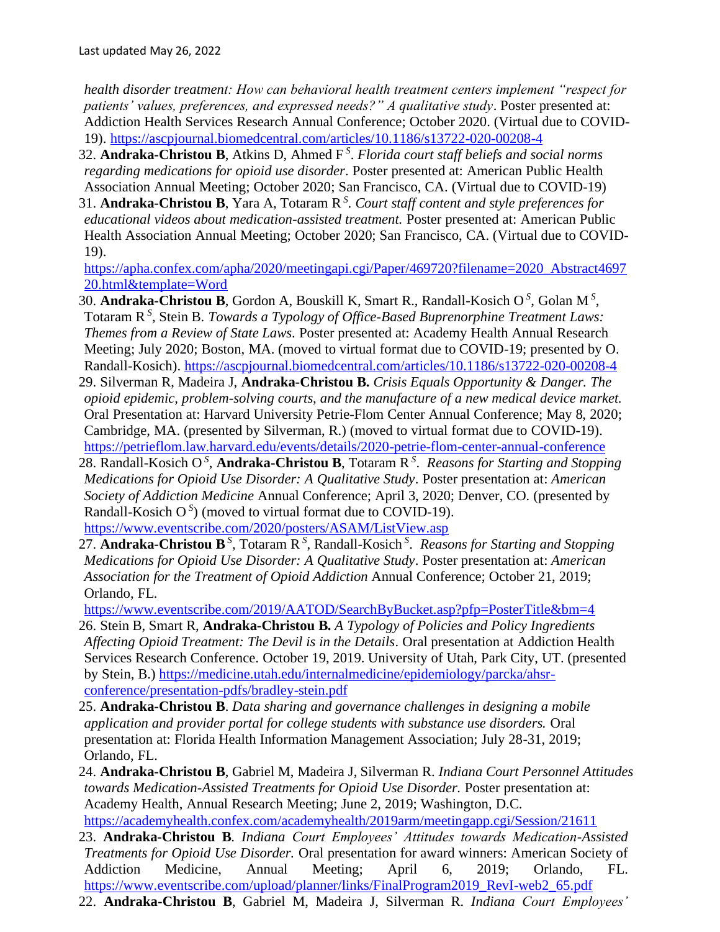*health disorder treatment: How can behavioral health treatment centers implement "respect for*  patients' values, preferences, and expressed needs?" A qualitative study. Poster presented at: Addiction Health Services Research Annual Conference; October 2020. (Virtual due to COVID-19).<https://ascpjournal.biomedcentral.com/articles/10.1186/s13722-020-00208-4>

- 32. **Andraka-Christou B**, Atkins D, Ahmed F *<sup>S</sup>* . *Florida court staff beliefs and social norms regarding medications for opioid use disorder*. Poster presented at: American Public Health Association Annual Meeting; October 2020; San Francisco, CA. (Virtual due to COVID-19)
- 31. **Andraka-Christou B**, Yara A, Totaram R*<sup>S</sup>* . *Court staff content and style preferences for educational videos about medication-assisted treatment.* Poster presented at: American Public Health Association Annual Meeting; October 2020; San Francisco, CA. (Virtual due to COVID-19).

[https://apha.confex.com/apha/2020/meetingapi.cgi/Paper/469720?filename=2020\\_Abstract4697](https://apha.confex.com/apha/2020/meetingapi.cgi/Paper/469720?filename=2020_Abstract469720.html&template=Word) [20.html&template=Word](https://apha.confex.com/apha/2020/meetingapi.cgi/Paper/469720?filename=2020_Abstract469720.html&template=Word)

- 30. **Andraka-Christou B**, Gordon A, Bouskill K, Smart R., Randall-Kosich O *S* , Golan M *<sup>S</sup>* , Totaram R *S* , Stein B. *Towards a Typology of Office-Based Buprenorphine Treatment Laws: Themes from a Review of State Laws*. Poster presented at: Academy Health Annual Research Meeting; July 2020; Boston, MA. (moved to virtual format due to COVID-19; presented by O. Randall-Kosich).<https://ascpjournal.biomedcentral.com/articles/10.1186/s13722-020-00208-4>
- 29. Silverman R, Madeira J, **Andraka-Christou B.** *Crisis Equals Opportunity & Danger. The opioid epidemic, problem-solving courts, and the manufacture of a new medical device market.* Oral Presentation at: Harvard University Petrie-Flom Center Annual Conference; May 8, 2020; Cambridge, MA. (presented by Silverman, R.) (moved to virtual format due to COVID-19). <https://petrieflom.law.harvard.edu/events/details/2020-petrie-flom-center-annual-conference>
- 28. Randall-Kosich O *<sup>S</sup>* , **Andraka-Christou B**, Totaram R*<sup>S</sup>* . *Reasons for Starting and Stopping Medications for Opioid Use Disorder: A Qualitative Study*. Poster presentation at: *American Society of Addiction Medicine* Annual Conference; April 3, 2020; Denver, CO*.* (presented by Randall-Kosich  $O<sup>S</sup>$ ) (moved to virtual format due to COVID-19). <https://www.eventscribe.com/2020/posters/ASAM/ListView.asp>
- 27. Andraka-Christou B<sup>S</sup>, Totaram R<sup>S</sup>, Randall-Kosich<sup>S</sup>. Reasons for Starting and Stopping *Medications for Opioid Use Disorder: A Qualitative Study*. Poster presentation at: *American Association for the Treatment of Opioid Addiction* Annual Conference; October 21, 2019; Orlando, FL*.*

<https://www.eventscribe.com/2019/AATOD/SearchByBucket.asp?pfp=PosterTitle&bm=4>

- 26. Stein B, Smart R, **Andraka-Christou B.** *A Typology of Policies and Policy Ingredients Affecting Opioid Treatment: The Devil is in the Details*. Oral presentation at Addiction Health Services Research Conference. October 19, 2019. University of Utah, Park City, UT. (presented by Stein, B.) [https://medicine.utah.edu/internalmedicine/epidemiology/parcka/ahsr](https://medicine.utah.edu/internalmedicine/epidemiology/parcka/ahsr-conference/presentation-pdfs/bradley-stein.pdf)[conference/presentation-pdfs/bradley-stein.pdf](https://medicine.utah.edu/internalmedicine/epidemiology/parcka/ahsr-conference/presentation-pdfs/bradley-stein.pdf)
- 25. **Andraka-Christou B**. *Data sharing and governance challenges in designing a mobile application and provider portal for college students with substance use disorders.* Oral presentation at: Florida Health Information Management Association; July 28-31, 2019; Orlando, FL.
- 24. **Andraka-Christou B**, Gabriel M, Madeira J, Silverman R. *[Indiana](https://academyhealth.confex.com/academyhealth/2018arm/meetingapp.cgi/Paper/27378) Court Personnel Attitudes towards Medication-Assisted Treatments for Opioid Use Disorder.* Poster presentation at: Academy Health, Annual Research Meeting; June 2, 2019; Washington, D.C. <https://academyhealth.confex.com/academyhealth/2019arm/meetingapp.cgi/Session/21611>
- 23. **Andraka-Christou B**. *[Indiana](https://academyhealth.confex.com/academyhealth/2018arm/meetingapp.cgi/Paper/27378) Court Employees' Attitudes towards Medication-Assisted Treatments for Opioid Use Disorder.* Oral presentation for award winners: American Society of Addiction Medicine, Annual Meeting; April 6, 2019; Orlando, FL. [https://www.eventscribe.com/upload/planner/links/FinalProgram2019\\_RevI-web2\\_65.pdf](https://www.eventscribe.com/upload/planner/links/FinalProgram2019_RevI-web2_65.pdf)
- 22. **Andraka-Christou B**, Gabriel M, Madeira J, Silverman R. *[Indiana](https://academyhealth.confex.com/academyhealth/2018arm/meetingapp.cgi/Paper/27378) Court Employees'*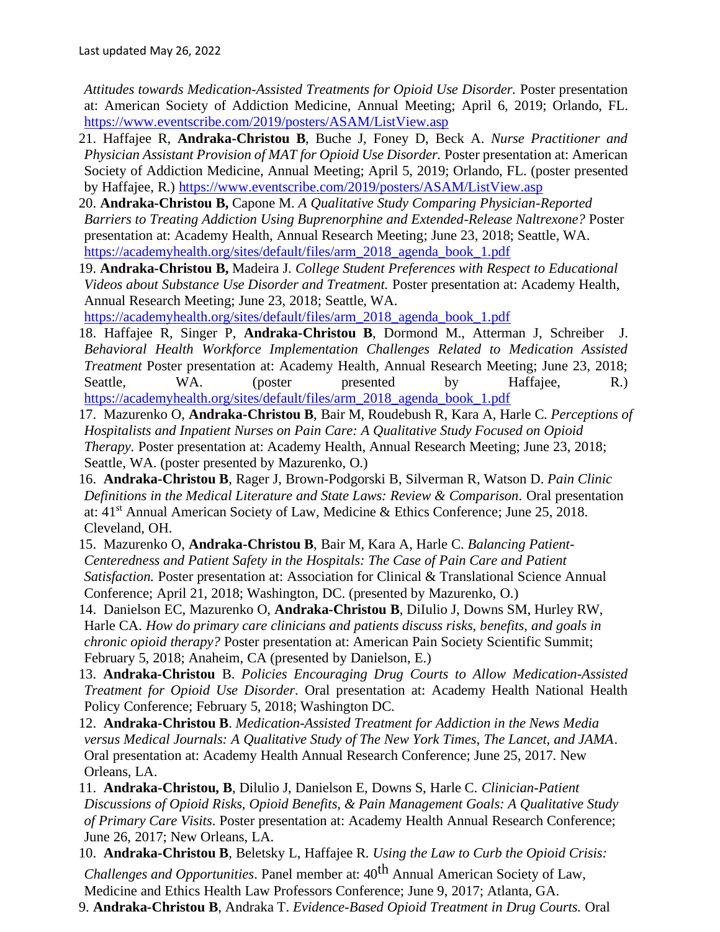*Attitudes towards Medication-Assisted Treatments for Opioid Use Disorder.* Poster presentation at: American Society of Addiction Medicine, Annual Meeting; April 6, 2019; Orlando, FL. <https://www.eventscribe.com/2019/posters/ASAM/ListView.asp>

- 21. Haffajee R, **Andraka-Christou B**, Buche J, Foney D, Beck A. *Nurse Practitioner and Physician Assistant Provision of MAT for Opioid Use Disorder.* Poster presentation at: American Society of Addiction Medicine, Annual Meeting; April 5, 2019; Orlando, FL. (poster presented by Haffajee, R.) <https://www.eventscribe.com/2019/posters/ASAM/ListView.asp>
- 20. **Andraka-Christou B,** Capone M. *[A Qualitative Study Comparing Physician-Reported](https://academyhealth.confex.com/academyhealth/2018arm/meetingapp.cgi/Paper/25105)  [Barriers to Treating Addiction Using Buprenorphine and Extended-Release Naltrexone?](https://academyhealth.confex.com/academyhealth/2018arm/meetingapp.cgi/Paper/25105)* Poster presentation at: Academy Health, Annual Research Meeting; June 23, 2018; Seattle, WA. [https://academyhealth.org/sites/default/files/arm\\_2018\\_agenda\\_book\\_1.pdf](https://academyhealth.org/sites/default/files/arm_2018_agenda_book_1.pdf)
- 19. **Andraka-Christou B,** Madeira J. *College Student Preferences with Respect to Educational Videos about Substance Use Disorder and Treatment.* Poster presentation at: Academy Health, Annual Research Meeting; June 23, 2018; Seattle, WA.

[https://academyhealth.org/sites/default/files/arm\\_2018\\_agenda\\_book\\_1.pdf](https://academyhealth.org/sites/default/files/arm_2018_agenda_book_1.pdf)

- 18. Haffajee R, Singer P, **Andraka-Christou B**, Dormond M., Atterman J, Schreiber J. *[Behavioral Health Workforce Implementation Challenges Related to Medication Assisted](https://academyhealth.confex.com/academyhealth/2018arm/meetingapp.cgi/Paper/27378)  [Treatment](https://academyhealth.confex.com/academyhealth/2018arm/meetingapp.cgi/Paper/27378)* Poster presentation at: Academy Health, Annual Research Meeting; June 23, 2018; Seattle, WA. (poster presented by Haffajee, R.) [https://academyhealth.org/sites/default/files/arm\\_2018\\_agenda\\_book\\_1.pdf](https://academyhealth.org/sites/default/files/arm_2018_agenda_book_1.pdf)
- 17. Mazurenko O, **Andraka-Christou B**, Bair M, Roudebush R, Kara A, Harle C. *[Perceptions of](https://academyhealth.confex.com/academyhealth/2018arm/meetingapp.cgi/Paper/23072)  [Hospitalists and Inpatient Nurses on Pain Care: A Qualitative Study Focused on Opioid](https://academyhealth.confex.com/academyhealth/2018arm/meetingapp.cgi/Paper/23072)  [Therapy.](https://academyhealth.confex.com/academyhealth/2018arm/meetingapp.cgi/Paper/23072)* Poster presentation at: Academy Health, Annual Research Meeting; June 23, 2018; Seattle, WA. (poster presented by Mazurenko, O.)
- 16. **Andraka-Christou B**, Rager J, Brown-Podgorski B, Silverman R, Watson D. *Pain Clinic Definitions in the Medical Literature and State Laws: Review & Comparison.* Oral presentation at: 41st Annual American Society of Law, Medicine & Ethics Conference; June 25, 2018. Cleveland, OH.
- 15. Mazurenko O, **Andraka-Christou B**, Bair M, Kara A, Harle C. *Balancing Patient-Centeredness and Patient Safety in the Hospitals: The Case of Pain Care and Patient Satisfaction.* Poster presentation at: Association for Clinical & Translational Science Annual Conference; April 21, 2018; Washington, DC. (presented by Mazurenko, O.)
- 14. Danielson EC, Mazurenko O, **Andraka-Christou B**, DiIulio J, Downs SM, Hurley RW, Harle CA. *How do primary care clinicians and patients discuss risks, benefits, and goals in chronic opioid therapy?* Poster presentation at: American Pain Society Scientific Summit; February 5, 2018; Anaheim, CA (presented by Danielson, E.)
- 13. **Andraka-Christou** B. *Policies Encouraging Drug Courts to Allow Medication-Assisted Treatment for Opioid Use Disorder*. Oral presentation at: Academy Health National Health Policy Conference; February 5, 2018; Washington DC.
- 12. **Andraka-Christou B**. *Medication-Assisted Treatment for Addiction in the News Media versus Medical Journals: A Qualitative Study of The New York Times, The Lancet, and JAMA*. Oral presentation at: Academy Health Annual Research Conference; June 25, 2017. New Orleans, LA.
- 11. **Andraka-Christou, B**, Dilulio J, Danielson E, Downs S, Harle C. *Clinician-Patient Discussions of Opioid Risks, Opioid Benefits, & Pain Management Goals: A Qualitative Study of Primary Care Visits*. Poster presentation at: Academy Health Annual Research Conference; June 26, 2017; New Orleans, LA.
- 10. **Andraka-Christou B**, Beletsky L, Haffajee R. *Using the Law to Curb the Opioid Crisis:*

*Challenges and Opportunities*. Panel member at: 40th Annual American Society of Law, Medicine and Ethics Health Law Professors Conference; June 9, 2017; Atlanta, GA.

9. **Andraka-Christou B**, Andraka T. *Evidence-Based Opioid Treatment in Drug Courts.* Oral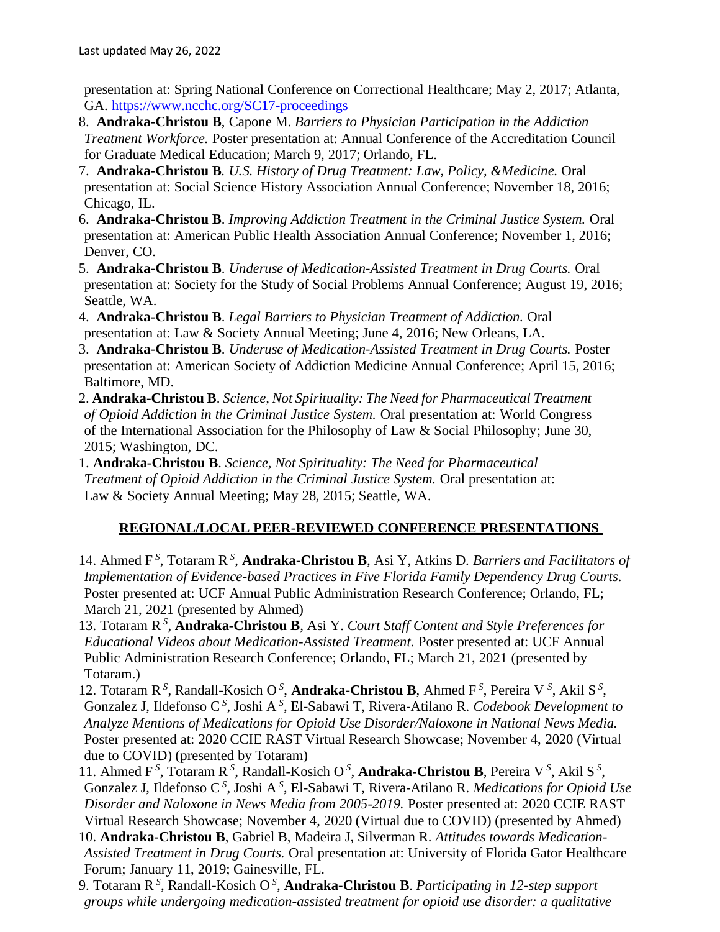presentation at: Spring National Conference on Correctional Healthcare; May 2, 2017; Atlanta, GA. <https://www.ncchc.org/SC17-proceedings>

- 8. **Andraka-Christou B**, Capone M. *Barriers to Physician Participation in the Addiction Treatment Workforce.* Poster presentation at: Annual Conference of the Accreditation Council for Graduate Medical Education; March 9, 2017; Orlando, FL.
- 7. **Andraka-Christou B***. U.S. History of Drug Treatment: Law, Policy, &Medicine.* Oral presentation at: Social Science History Association Annual Conference; November 18, 2016; Chicago, IL.
- 6. **Andraka-Christou B**. *Improving Addiction Treatment in the Criminal Justice System.* Oral presentation at: American Public Health Association Annual Conference; November 1, 2016; Denver, CO.
- 5. **Andraka-Christou B**. *Underuse of Medication-Assisted Treatment in Drug Courts.* Oral presentation at: Society for the Study of Social Problems Annual Conference; August 19, 2016; Seattle, WA.
- 4. **Andraka-Christou B**. *Legal Barriers to Physician Treatment of Addiction.* Oral presentation at: Law & Society Annual Meeting; June 4, 2016; New Orleans, LA.
- 3. **Andraka-Christou B**. *Underuse of Medication-Assisted Treatment in Drug Courts.* Poster presentation at: American Society of Addiction Medicine Annual Conference; April 15, 2016; Baltimore, MD.
- 2. **Andraka-Christou B**. *Science, Not Spirituality: The Need for Pharmaceutical Treatment of Opioid Addiction in the Criminal Justice System.* Oral presentation at: World Congress of the International Association for the Philosophy of Law & Social Philosophy; June 30, 2015; Washington, DC.
- 1. **Andraka-Christou B**. *Science, Not Spirituality: The Need for Pharmaceutical Treatment of Opioid Addiction in the Criminal Justice System.* Oral presentation at: Law & Society Annual Meeting; May 28, 2015; Seattle, WA.

## **REGIONAL/LOCAL PEER-REVIEWED CONFERENCE PRESENTATIONS**

14. Ahmed F<sup>S</sup>, Totaram R<sup>S</sup>, Andraka-Christou B, Asi Y, Atkins D. *Barriers and Facilitators of Implementation of Evidence-based Practices in Five Florida Family Dependency Drug Courts.* Poster presented at: UCF Annual Public Administration Research Conference; Orlando, FL; March 21, 2021 (presented by Ahmed)

- 13. Totaram R*<sup>S</sup>* , **Andraka-Christou B**, Asi Y. *Court Staff Content and Style Preferences for Educational Videos about Medication-Assisted Treatment.* Poster presented at: UCF Annual Public Administration Research Conference; Orlando, FL; March 21, 2021 (presented by Totaram.)
- 12. Totaram R<sup>S</sup>, Randall-Kosich O<sup>S</sup>, Andraka-Christou B, Ahmed F<sup>S</sup>, Pereira V<sup>S</sup>, Akil S<sup>S</sup>, Gonzalez J, Ildefonso C<sup>S</sup>, Joshi A<sup>S</sup>, El-Sabawi T, Rivera-Atilano R. *Codebook Development to Analyze Mentions of Medications for Opioid Use Disorder/Naloxone in National News Media.* Poster presented at: 2020 CCIE RAST Virtual Research Showcase; November 4, 2020 (Virtual due to COVID) (presented by Totaram)
- 11. Ahmed F<sup>S</sup>, Totaram R<sup>S</sup>, Randall-Kosich O<sup>S</sup>, Andraka-Christou B, Pereira V<sup>S</sup>, Akil S<sup>S</sup>, Gonzalez J, Ildefonso C<sup>S</sup>, Joshi A<sup>S</sup>, El-Sabawi T, Rivera-Atilano R. *Medications for Opioid Use Disorder and Naloxone in News Media from 2005-2019.* Poster presented at: 2020 CCIE RAST Virtual Research Showcase; November 4, 2020 (Virtual due to COVID) (presented by Ahmed)
- 10. **Andraka-Christou B**, Gabriel B, Madeira J, Silverman R. *Attitudes towards Medication-Assisted Treatment in Drug Courts.* Oral presentation at: University of Florida Gator Healthcare Forum; January 11, 2019; Gainesville, FL.
- 9. Totaram R*<sup>S</sup>* , Randall-Kosich O *<sup>S</sup>* , **Andraka-Christou B**. *Participating in 12-step support groups while undergoing medication-assisted treatment for opioid use disorder: a qualitative*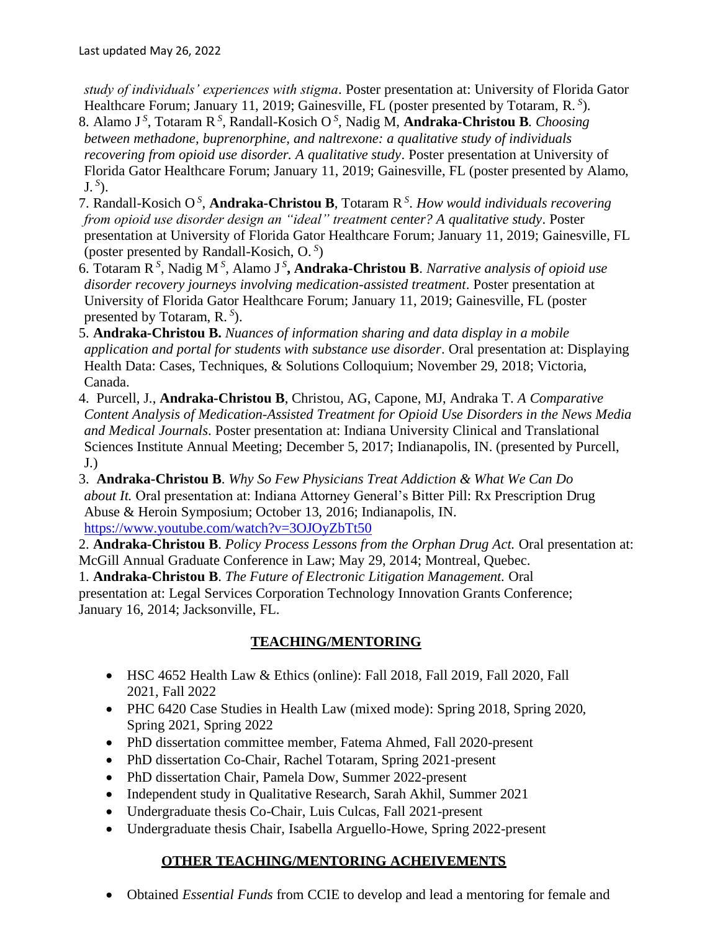*study of individuals' experiences with stigma*. Poster presentation at: University of Florida Gator Healthcare Forum; January 11, 2019; Gainesville, FL (poster presented by Totaram, R. *<sup>S</sup>* ).

- 8. Alamo J *<sup>S</sup>* , Totaram R*<sup>S</sup>* , Randall-Kosich O *<sup>S</sup>* , Nadig M, **Andraka-Christou B**. *Choosing between methadone, buprenorphine, and naltrexone: a qualitative study of individuals recovering from opioid use disorder. A qualitative study*. Poster presentation at University of Florida Gator Healthcare Forum; January 11, 2019; Gainesville, FL (poster presented by Alamo, J. *<sup>S</sup>* ).
- 7. Randall-Kosich O *<sup>S</sup>* , **Andraka-Christou B**, Totaram R*<sup>S</sup>* . *How would individuals recovering from opioid use disorder design an "ideal" treatment center? A qualitative study*. Poster presentation at University of Florida Gator Healthcare Forum; January 11, 2019; Gainesville, FL (poster presented by Randall-Kosich, O. *<sup>S</sup>* )
- 6. Totaram R*<sup>S</sup>* , Nadig M *<sup>S</sup>* , Alamo J *<sup>S</sup>* **, Andraka-Christou B**. *Narrative analysis of opioid use disorder recovery journeys involving medication-assisted treatment*. Poster presentation at University of Florida Gator Healthcare Forum; January 11, 2019; Gainesville, FL (poster presented by Totaram, R. *<sup>S</sup>* ).
- 5. **Andraka-Christou B.** *Nuances of information sharing and data display in a mobile application and portal for students with substance use disorder*. Oral presentation at: Displaying Health Data: Cases, Techniques, & Solutions Colloquium; November 29, 2018; Victoria, Canada.
- 4. Purcell, J., **Andraka-Christou B**, Christou, AG, Capone, MJ, Andraka T. *A Comparative Content Analysis of Medication-Assisted Treatment for Opioid Use Disorders in the News Media and Medical Journals*. Poster presentation at: Indiana University Clinical and Translational Sciences Institute Annual Meeting; December 5, 2017; Indianapolis, IN. (presented by Purcell, J.)
- 3. **Andraka-Christou B**. *Why So Few Physicians Treat Addiction & What We Can Do about It.* Oral presentation at: Indiana Attorney General's Bitter Pill: Rx Prescription Drug Abuse & Heroin Symposium; October 13, 2016; Indianapolis, IN. <https://www.youtube.com/watch?v=3OJOyZbTt50>
- 2. **Andraka-Christou B**. *Policy Process Lessons from the Orphan Drug Act.* Oral presentation at: McGill Annual Graduate Conference in Law; May 29, 2014; Montreal, Quebec.

1. **Andraka-Christou B**. *The Future of Electronic Litigation Management.* Oral presentation at: Legal Services Corporation Technology Innovation Grants Conference; January 16, 2014; Jacksonville, FL.

## **TEACHING/MENTORING**

- HSC 4652 Health Law & Ethics (online): Fall 2018, Fall 2019, Fall 2020, Fall 2021, Fall 2022
- PHC 6420 Case Studies in Health Law (mixed mode): Spring 2018, Spring 2020, Spring 2021, Spring 2022
- PhD dissertation committee member, Fatema Ahmed, Fall 2020-present
- PhD dissertation Co-Chair, Rachel Totaram, Spring 2021-present
- PhD dissertation Chair, Pamela Dow, Summer 2022-present
- Independent study in Qualitative Research, Sarah Akhil, Summer 2021
- Undergraduate thesis Co-Chair, Luis Culcas, Fall 2021-present
- Undergraduate thesis Chair, Isabella Arguello-Howe, Spring 2022-present

## **OTHER TEACHING/MENTORING ACHEIVEMENTS**

• Obtained *Essential Funds* from CCIE to develop and lead a mentoring for female and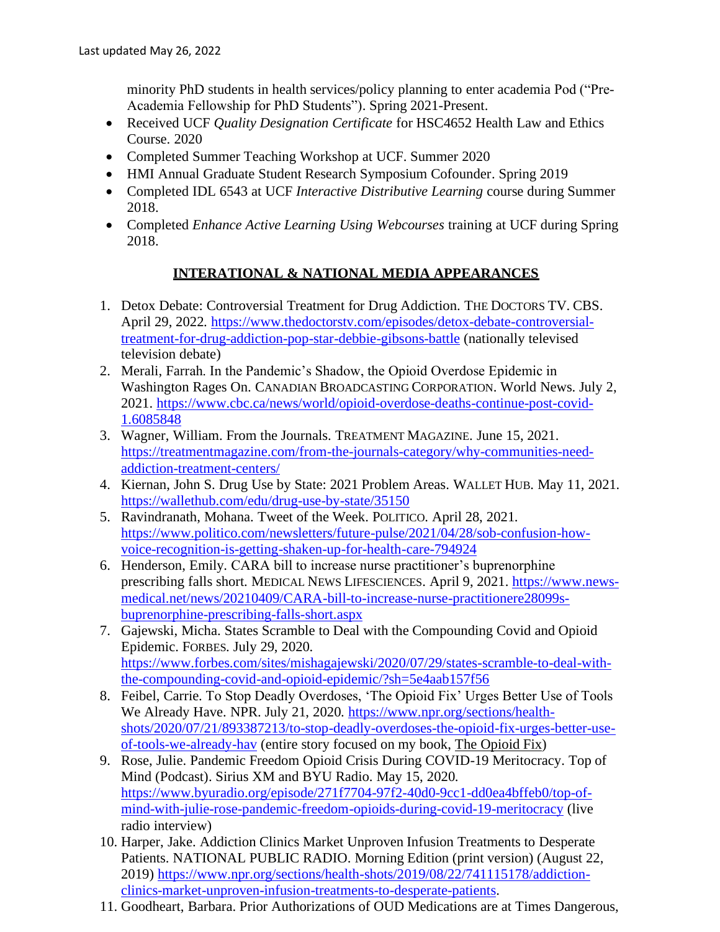minority PhD students in health services/policy planning to enter academia Pod ("Pre-Academia Fellowship for PhD Students"). Spring 2021-Present.

- Received UCF *Quality Designation Certificate* for HSC4652 Health Law and Ethics Course. 2020
- Completed Summer Teaching Workshop at UCF. Summer 2020
- HMI Annual Graduate Student Research Symposium Cofounder. Spring 2019
- Completed IDL 6543 at UCF *Interactive Distributive Learning* course during Summer 2018.
- Completed *Enhance Active Learning Using Webcourses* training at UCF during Spring 2018.

### **INTERATIONAL & NATIONAL MEDIA APPEARANCES**

- 1. Detox Debate: Controversial Treatment for Drug Addiction. THE DOCTORS TV. CBS. April 29, 2022. [https://www.thedoctorstv.com/episodes/detox-debate-controversial](https://www.thedoctorstv.com/episodes/detox-debate-controversial-treatment-for-drug-addiction-pop-star-debbie-gibsons-battle)[treatment-for-drug-addiction-pop-star-debbie-gibsons-battle](https://www.thedoctorstv.com/episodes/detox-debate-controversial-treatment-for-drug-addiction-pop-star-debbie-gibsons-battle) (nationally televised television debate)
- 2. Merali, Farrah. In the Pandemic's Shadow, the Opioid Overdose Epidemic in Washington Rages On. CANADIAN BROADCASTING CORPORATION. World News. July 2, 2021. [https://www.cbc.ca/news/world/opioid-overdose-deaths-continue-post-covid-](https://www.cbc.ca/news/world/opioid-overdose-deaths-continue-post-covid-1.6085848)[1.6085848](https://www.cbc.ca/news/world/opioid-overdose-deaths-continue-post-covid-1.6085848)
- 3. Wagner, William. From the Journals. TREATMENT MAGAZINE. June 15, 2021. [https://treatmentmagazine.com/from-the-journals-category/why-communities-need](https://treatmentmagazine.com/from-the-journals-category/why-communities-need-addiction-treatment-centers/)[addiction-treatment-centers/](https://treatmentmagazine.com/from-the-journals-category/why-communities-need-addiction-treatment-centers/)
- 4. Kiernan, John S. Drug Use by State: 2021 Problem Areas. WALLET HUB. May 11, 2021. <https://wallethub.com/edu/drug-use-by-state/35150>
- 5. Ravindranath, Mohana. Tweet of the Week. POLITICO. April 28, 2021. [https://www.politico.com/newsletters/future-pulse/2021/04/28/sob-confusion-how](https://www.politico.com/newsletters/future-pulse/2021/04/28/sob-confusion-how-voice-recognition-is-getting-shaken-up-for-health-care-794924)[voice-recognition-is-getting-shaken-up-for-health-care-794924](https://www.politico.com/newsletters/future-pulse/2021/04/28/sob-confusion-how-voice-recognition-is-getting-shaken-up-for-health-care-794924)
- 6. Henderson, Emily. CARA bill to increase nurse practitioner's buprenorphine prescribing falls short. MEDICAL NEWS LIFESCIENCES. April 9, 2021. [https://www.news](https://www.news-medical.net/news/20210409/CARA-bill-to-increase-nurse-practitionere28099s-buprenorphine-prescribing-falls-short.aspx)[medical.net/news/20210409/CARA-bill-to-increase-nurse-practitionere28099s](https://www.news-medical.net/news/20210409/CARA-bill-to-increase-nurse-practitionere28099s-buprenorphine-prescribing-falls-short.aspx)[buprenorphine-prescribing-falls-short.aspx](https://www.news-medical.net/news/20210409/CARA-bill-to-increase-nurse-practitionere28099s-buprenorphine-prescribing-falls-short.aspx)
- 7. Gajewski, Micha. States Scramble to Deal with the Compounding Covid and Opioid Epidemic. FORBES. July 29, 2020. [https://www.forbes.com/sites/mishagajewski/2020/07/29/states-scramble-to-deal-with](https://www.forbes.com/sites/mishagajewski/2020/07/29/states-scramble-to-deal-with-the-compounding-covid-and-opioid-epidemic/?sh=5e4aab157f56)[the-compounding-covid-and-opioid-epidemic/?sh=5e4aab157f56](https://www.forbes.com/sites/mishagajewski/2020/07/29/states-scramble-to-deal-with-the-compounding-covid-and-opioid-epidemic/?sh=5e4aab157f56)
- 8. Feibel, Carrie. To Stop Deadly Overdoses, 'The Opioid Fix' Urges Better Use of Tools We Already Have. NPR. July 21, 2020. [https://www.npr.org/sections/health](https://www.npr.org/sections/health-shots/2020/07/21/893387213/to-stop-deadly-overdoses-the-opioid-fix-urges-better-use-of-tools-we-already-hav)[shots/2020/07/21/893387213/to-stop-deadly-overdoses-the-opioid-fix-urges-better-use](https://www.npr.org/sections/health-shots/2020/07/21/893387213/to-stop-deadly-overdoses-the-opioid-fix-urges-better-use-of-tools-we-already-hav)[of-tools-we-already-hav](https://www.npr.org/sections/health-shots/2020/07/21/893387213/to-stop-deadly-overdoses-the-opioid-fix-urges-better-use-of-tools-we-already-hav) (entire story focused on my book, The Opioid Fix)
- 9. Rose, Julie. Pandemic Freedom Opioid Crisis During COVID-19 Meritocracy. Top of Mind (Podcast). Sirius XM and BYU Radio. May 15, 2020. [https://www.byuradio.org/episode/271f7704-97f2-40d0-9cc1-dd0ea4bffeb0/top-of](https://www.byuradio.org/episode/271f7704-97f2-40d0-9cc1-dd0ea4bffeb0/top-of-mind-with-julie-rose-pandemic-freedom-opioids-during-covid-19-meritocracy)[mind-with-julie-rose-pandemic-freedom-opioids-during-covid-19-meritocracy](https://www.byuradio.org/episode/271f7704-97f2-40d0-9cc1-dd0ea4bffeb0/top-of-mind-with-julie-rose-pandemic-freedom-opioids-during-covid-19-meritocracy) (live radio interview)
- 10. Harper, Jake. Addiction Clinics Market Unproven Infusion Treatments to Desperate Patients. NATIONAL PUBLIC RADIO. Morning Edition (print version) (August 22, 2019) [https://www.npr.org/sections/health-shots/2019/08/22/741115178/addiction](https://www.npr.org/sections/health-shots/2019/08/22/741115178/addiction-clinics-market-unproven-infusion-treatments-to-desperate-patients)[clinics-market-unproven-infusion-treatments-to-desperate-patients.](https://www.npr.org/sections/health-shots/2019/08/22/741115178/addiction-clinics-market-unproven-infusion-treatments-to-desperate-patients)
- 11. Goodheart, Barbara. Prior Authorizations of OUD Medications are at Times Dangerous,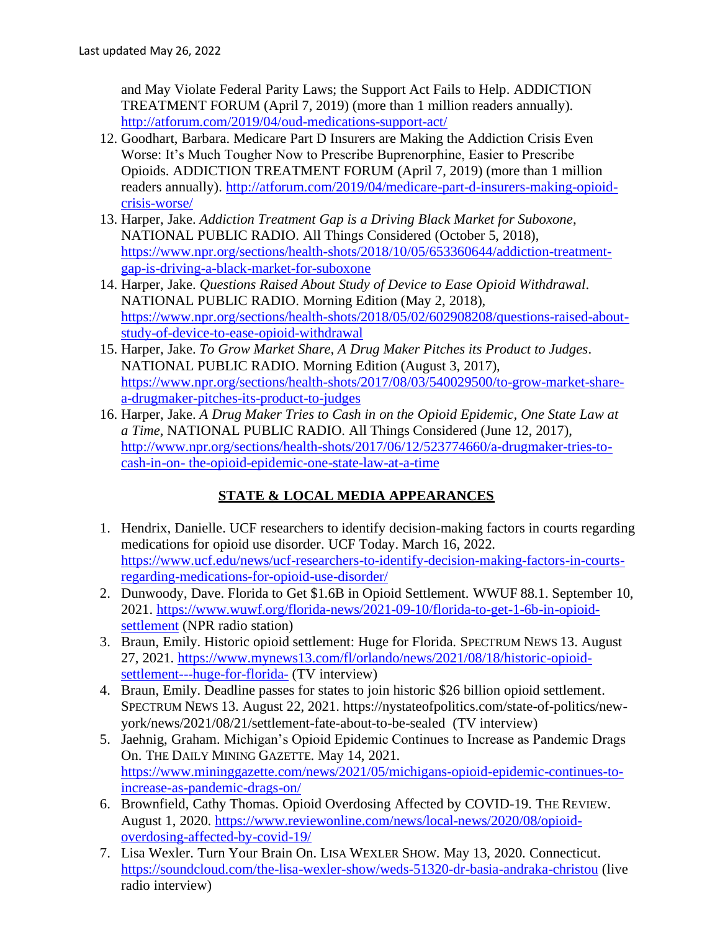and May Violate Federal Parity Laws; the Support Act Fails to Help. ADDICTION TREATMENT FORUM (April 7, 2019) (more than 1 million readers annually). <http://atforum.com/2019/04/oud-medications-support-act/>

- 12. Goodhart, Barbara. Medicare Part D Insurers are Making the Addiction Crisis Even Worse: It's Much Tougher Now to Prescribe Buprenorphine, Easier to Prescribe Opioids. ADDICTION TREATMENT FORUM (April 7, 2019) (more than 1 million readers annually). [http://atforum.com/2019/04/medicare-part-d-insurers-making-opioid](http://atforum.com/2019/04/medicare-part-d-insurers-making-opioid-crisis-worse/)[crisis-worse/](http://atforum.com/2019/04/medicare-part-d-insurers-making-opioid-crisis-worse/)
- 13. Harper, Jake. *Addiction Treatment Gap is a Driving Black Market for Suboxone*, NATIONAL PUBLIC RADIO. All Things Considered (October 5, 2018), https://www.npr.org/sections/health-shots/2018/10/05/653360644/addiction-treatmentgap-is-driving-a-black-market-for-suboxone
- 14. Harper, Jake. *Questions Raised About Study of Device to Ease Opioid Withdrawal*. NATIONAL PUBLIC RADIO. Morning Edition (May 2, 2018), [https://www.npr.org/sections/health-shots/2018/05/02/602908208/questions-raised-about](https://www.npr.org/sections/health-shots/2018/05/02/602908208/questions-raised-about-study-of-device-to-ease-opioid-withdrawal)[study-of-device-to-ease-opioid-withdrawal](https://www.npr.org/sections/health-shots/2018/05/02/602908208/questions-raised-about-study-of-device-to-ease-opioid-withdrawal)
- 15. Harper, Jake. *To Grow Market Share, A Drug Maker Pitches its Product to Judges*. NATIONAL PUBLIC RADIO. Morning Edition (August 3, 2017), [https://www.npr.org/sections/health-shots/2017/08/03/540029500/to-grow-market-share](https://www.npr.org/sections/health-shots/2017/08/03/540029500/to-grow-market-share-a-drugmaker-pitches-its-product-to-judges)[a-drugmaker-pitches-its-product-to-judges](https://www.npr.org/sections/health-shots/2017/08/03/540029500/to-grow-market-share-a-drugmaker-pitches-its-product-to-judges)
- 16. Harper, Jake. *A Drug Maker Tries to Cash in on the Opioid Epidemic, One State Law at a Time*, NATIONAL PUBLIC RADIO. All Things Considered (June 12, 2017), [http://www.npr.org/sections/health-shots/2017/06/12/523774660/a-drugmaker-tries-to](http://www.npr.org/sections/health-shots/2017/06/12/523774660/a-drugmaker-tries-to-cash-in-on-the-opioid-epidemic-one-state-law-at-a-time)[cash-in-on-](http://www.npr.org/sections/health-shots/2017/06/12/523774660/a-drugmaker-tries-to-cash-in-on-the-opioid-epidemic-one-state-law-at-a-time) [the-opioid-epidemic-one-state-law-at-a-time](http://www.npr.org/sections/health-shots/2017/06/12/523774660/a-drugmaker-tries-to-cash-in-on-the-opioid-epidemic-one-state-law-at-a-time)

## **STATE & LOCAL MEDIA APPEARANCES**

- 1. Hendrix, Danielle. UCF researchers to identify decision-making factors in courts regarding medications for opioid use disorder. UCF Today. March 16, 2022. [https://www.ucf.edu/news/ucf-researchers-to-identify-decision-making-factors-in-courts](https://www.ucf.edu/news/ucf-researchers-to-identify-decision-making-factors-in-courts-regarding-medications-for-opioid-use-disorder/)[regarding-medications-for-opioid-use-disorder/](https://www.ucf.edu/news/ucf-researchers-to-identify-decision-making-factors-in-courts-regarding-medications-for-opioid-use-disorder/)
- 2. Dunwoody, Dave. Florida to Get \$1.6B in Opioid Settlement. WWUF 88.1. September 10, 2021. [https://www.wuwf.org/florida-news/2021-09-10/florida-to-get-1-6b-in-opioid](https://www.wuwf.org/florida-news/2021-09-10/florida-to-get-1-6b-in-opioid-settlement)[settlement](https://www.wuwf.org/florida-news/2021-09-10/florida-to-get-1-6b-in-opioid-settlement) (NPR radio station)
- 3. Braun, Emily. Historic opioid settlement: Huge for Florida. SPECTRUM NEWS 13. August 27, 2021. [https://www.mynews13.com/fl/orlando/news/2021/08/18/historic-opioid](https://www.mynews13.com/fl/orlando/news/2021/08/18/historic-opioid-settlement---huge-for-florida-)[settlement---huge-for-florida-](https://www.mynews13.com/fl/orlando/news/2021/08/18/historic-opioid-settlement---huge-for-florida-) (TV interview)
- 4. Braun, Emily. Deadline passes for states to join historic \$26 billion opioid settlement. SPECTRUM NEWS 13. August 22, 2021. https://nystateofpolitics.com/state-of-politics/newyork/news/2021/08/21/settlement-fate-about-to-be-sealed (TV interview)
- 5. Jaehnig, Graham. Michigan's Opioid Epidemic Continues to Increase as Pandemic Drags On. THE DAILY MINING GAZETTE. May 14, 2021. [https://www.mininggazette.com/news/2021/05/michigans-opioid-epidemic-continues-to](https://www.mininggazette.com/news/2021/05/michigans-opioid-epidemic-continues-to-increase-as-pandemic-drags-on/)[increase-as-pandemic-drags-on/](https://www.mininggazette.com/news/2021/05/michigans-opioid-epidemic-continues-to-increase-as-pandemic-drags-on/)
- 6. Brownfield, Cathy Thomas. Opioid Overdosing Affected by COVID-19. THE REVIEW. August 1, 2020. [https://www.reviewonline.com/news/local-news/2020/08/opioid](https://www.reviewonline.com/news/local-news/2020/08/opioid-overdosing-affected-by-covid-19/)[overdosing-affected-by-covid-19/](https://www.reviewonline.com/news/local-news/2020/08/opioid-overdosing-affected-by-covid-19/)
- 7. Lisa Wexler. Turn Your Brain On. LISA WEXLER SHOW. May 13, 2020. Connecticut. <https://soundcloud.com/the-lisa-wexler-show/weds-51320-dr-basia-andraka-christou> (live radio interview)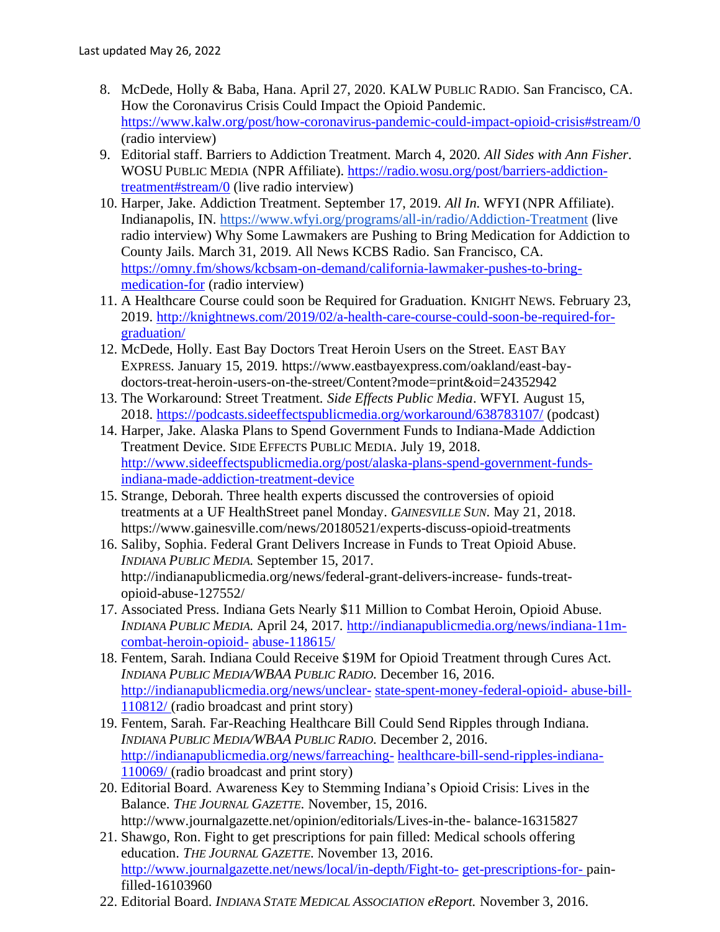- 8. McDede, Holly & Baba, Hana. April 27, 2020. KALW PUBLIC RADIO. San Francisco, CA. How the Coronavirus Crisis Could Impact the Opioid Pandemic. https://www.kalw.org/post/how-coronavirus-pandemic-could-impact-opioid-crisis#stream/0 (radio interview)
- 9. Editorial staff. Barriers to Addiction Treatment. March 4, 2020*. All Sides with Ann Fisher*. WOSU PUBLIC MEDIA (NPR Affiliate). https://radio.wosu.org/post/barriers-addictiontreatment#stream/0 (live radio interview)
- 10. Harper, Jake. Addiction Treatment. September 17, 2019. *All In.* WFYI (NPR Affiliate). Indianapolis, IN. https://www.wfyi.org/programs/all-in/radio/Addiction-Treatment (live radio interview) Why Some Lawmakers are Pushing to Bring Medication for Addiction to County Jails. March 31, 2019. All News KCBS Radio. San Francisco, CA. https://omny.fm/shows/kcbsam-on-demand/california-lawmaker-pushes-to-bringmedication-for (radio interview)
- 11. A Healthcare Course could soon be Required for Graduation. KNIGHT NEWS. February 23, 2019. http://knightnews.com/2019/02/a-health-care-course-could-soon-be-required-forgraduation/
- 12. McDede, Holly. East Bay Doctors Treat Heroin Users on the Street. EAST BAY EXPRESS. January 15, 2019. https://www.eastbayexpress.com/oakland/east-baydoctors-treat-heroin-users-on-the-street/Content?mode=print&oid=24352942
- 13. The Workaround: Street Treatment. *Side Effects Public Media*. WFYI. August 15, 2018. https://podcasts.sideeffectspublicmedia.org/workaround/638783107/ (podcast)
- 14. Harper, Jake. Alaska Plans to Spend Government Funds to Indiana-Made Addiction Treatment Device. SIDE EFFECTS PUBLIC MEDIA. July 19, 2018. http://www.sideeffectspublicmedia.org/post/alaska-plans-spend-government-fundsindiana-made-addiction-treatment-device
- 15. Strange, Deborah. Three health experts discussed the controversies of opioid treatments at a UF HealthStreet panel Monday. *GAINESVILLE SUN*. May 21, 2018. https://www.gainesville.com/news/20180521/experts-discuss-opioid-treatments
- 16. Saliby, Sophia. Federal Grant Delivers Increase in Funds to Treat Opioid Abuse. *INDIANA PUBLIC MEDIA*. September 15, 2017. http://indianapublicmedia.org/news/federal-grant-delivers-increase- funds-treatopioid-abuse-127552/
- 17. Associated Press. Indiana Gets Nearly \$11 Million to Combat Heroin, Opioid Abuse. *INDIANA PUBLIC MEDIA*. April 24, 2017. http://indianapublicmedia.org/news/indiana-11mcombat-heroin-opioid- abuse-118615/
- 18. Fentem, Sarah. Indiana Could Receive \$19M for Opioid Treatment through Cures Act. *INDIANA PUBLIC MEDIA/WBAA PUBLIC RADIO*. December 16, 2016. http://indianapublicmedia.org/news/unclear- state-spent-money-federal-opioid- abuse-bill-110812/ (radio broadcast and print story)
- 19. Fentem, Sarah. Far-Reaching Healthcare Bill Could Send Ripples through Indiana. *INDIANA PUBLIC MEDIA/WBAA PUBLIC RADIO*. December 2, 2016. http://indianapublicmedia.org/news/farreaching- healthcare-bill-send-ripples-indiana-110069/ (radio broadcast and print story)
- 20. Editorial Board. Awareness Key to Stemming Indiana's Opioid Crisis: Lives in the Balance. *THE JOURNAL GAZETTE*. November, 15, 2016. http://www.journalgazette.net/opinion/editorials/Lives-in-the- balance-16315827
- 21. Shawgo, Ron. Fight to get prescriptions for pain filled: Medical schools offering education. *THE JOURNAL GAZETTE*. November 13, 2016. http://www.journalgazette.net/news/local/in-depth/Fight-to- get-prescriptions-for- painfilled-16103960
- 22. Editorial Board. *INDIANA STATE MEDICAL ASSOCIATION eReport.* November 3, 2016.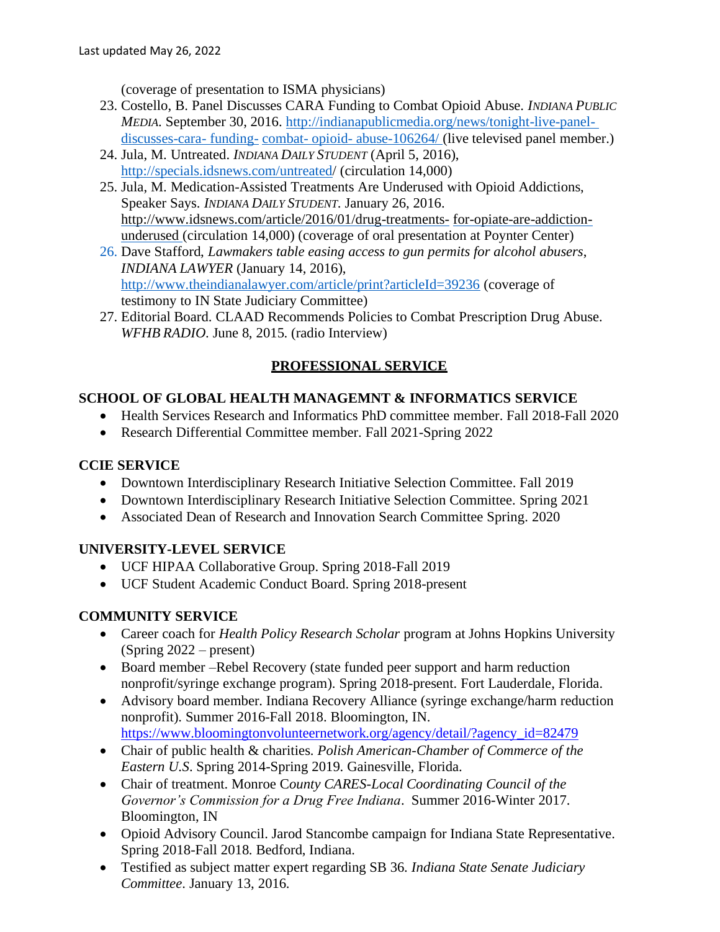(coverage of presentation to ISMA physicians)

- 23. Costello, B. Panel Discusses CARA Funding to Combat Opioid Abuse. *INDIANA PUBLIC MEDIA*. September 30, 2016. http://indianapublicmedia.org/news/tonight-live-paneldiscusses-cara- funding- combat- opioid- abuse-106264/ (live televised panel member.)
- 24. Jula, M. Untreated. *INDIANA DAILY STUDENT* (April 5, 2016), http://specials.idsnews.com/untreated/ (circulation 14,000)
- 25. Jula, M. Medication-Assisted Treatments Are Underused with Opioid Addictions, Speaker Says. *INDIANA DAILY STUDENT*. January 26, 2016. http://www.idsnews.com/article/2016/01/drug-treatments- for-opiate-are-addictionunderused (circulation 14,000) (coverage of oral presentation at Poynter Center)
- 26. Dave Stafford, *Lawmakers table easing access to gun permits for alcohol abusers*, *INDIANA LAWYER* (January 14, 2016), http://www.theindianalawyer.com/article/print?articleId=39236 (coverage of testimony to IN State Judiciary Committee)
- 27. Editorial Board. CLAAD Recommends Policies to Combat Prescription Drug Abuse. *WFHB RADIO*. June 8, 2015. (radio Interview)

# **PROFESSIONAL SERVICE**

## **SCHOOL OF GLOBAL HEALTH MANAGEMNT & INFORMATICS SERVICE**

- Health Services Research and Informatics PhD committee member. Fall 2018-Fall 2020
- Research Differential Committee member. Fall 2021-Spring 2022

## **CCIE SERVICE**

- Downtown Interdisciplinary Research Initiative Selection Committee. Fall 2019
- Downtown Interdisciplinary Research Initiative Selection Committee. Spring 2021
- Associated Dean of Research and Innovation Search Committee Spring. 2020

# **UNIVERSITY-LEVEL SERVICE**

- UCF HIPAA Collaborative Group. Spring 2018-Fall 2019
- UCF Student Academic Conduct Board. Spring 2018-present

# **COMMUNITY SERVICE**

- Career coach for *Health Policy Research Scholar* program at Johns Hopkins University (Spring 2022 – present)
- Board member –Rebel Recovery (state funded peer support and harm reduction nonprofit/syringe exchange program). Spring 2018-present. Fort Lauderdale, Florida.
- Advisory board member. Indiana Recovery Alliance (syringe exchange/harm reduction nonprofit). Summer 2016-Fall 2018. Bloomington, IN. https://www.bloomingtonvolunteernetwork.org/agency/detail/?agency\_id=82479
- Chair of public health & charities. *Polish American-Chamber of Commerce of the Eastern U.S*. Spring 2014-Spring 2019. Gainesville, Florida.
- Chair of treatment. Monroe C*ounty CARES-Local Coordinating Council of the Governor's Commission for a Drug Free Indiana*. Summer 2016-Winter 2017. Bloomington, IN
- Opioid Advisory Council. Jarod Stancombe campaign for Indiana State Representative. Spring 2018-Fall 2018. Bedford, Indiana.
- Testified as subject matter expert regarding SB 36. *Indiana State Senate Judiciary Committee*. January 13, 2016.